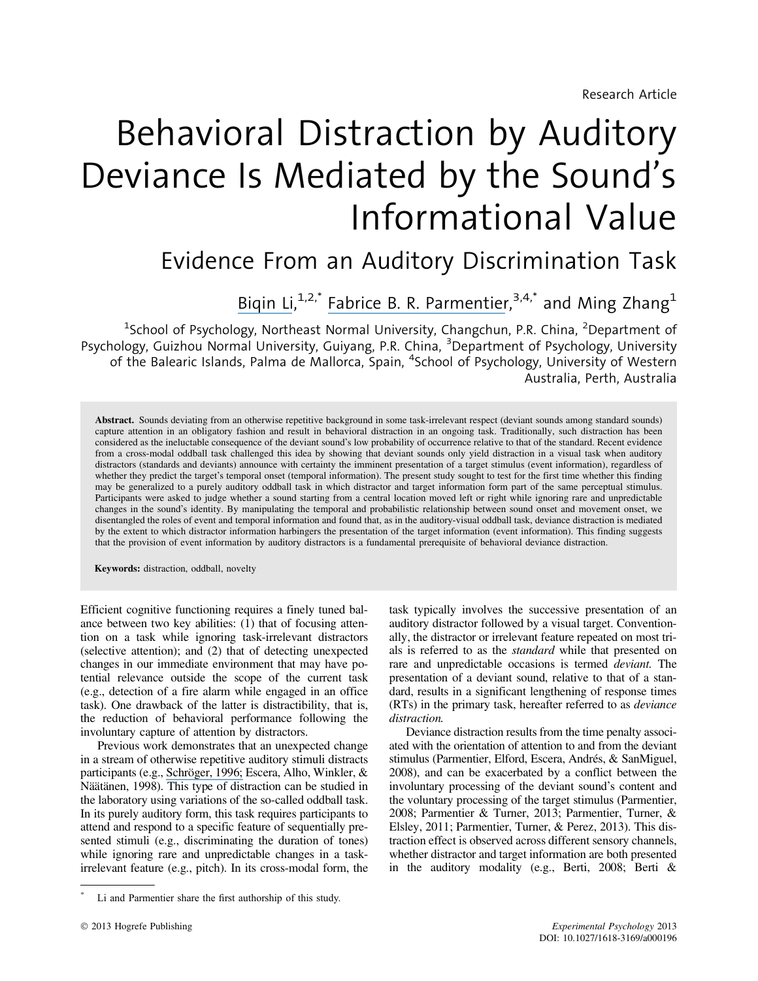# Behavioral Distraction by Auditory Deviance Is Mediated by the Sound's Informational Value

# Evidence From an Auditory Discrimination Task

[Biqin Li](https://www.researchgate.net/profile/Li_Biqin?el=1_x_100&enrichId=rgreq-667e20b14c37f2c161fa241115292ef8-XXX&enrichSource=Y292ZXJQYWdlOzIzNjU4MDQ5OTtBUzo5ODg5NzczNzI4OTc0MkAxNDAwNTkwNDY2OTgx),<sup>1,2,\*</sup> [Fabrice B. R. Parmentier](https://www.researchgate.net/profile/Fabrice_Parmentier?el=1_x_100&enrichId=rgreq-667e20b14c37f2c161fa241115292ef8-XXX&enrichSource=Y292ZXJQYWdlOzIzNjU4MDQ5OTtBUzo5ODg5NzczNzI4OTc0MkAxNDAwNTkwNDY2OTgx),<sup>3,4,\*</sup> and Ming Zhang<sup>1</sup>

<sup>1</sup>School of Psychology, Northeast Normal University, Changchun, P.R. China, <sup>2</sup>Department of Psychology, Guizhou Normal University, Guiyang, P.R. China, <sup>3</sup>Department of Psychology, University of the Balearic Islands, Palma de Mallorca, Spain, <sup>4</sup>School of Psychology, University of Western Australia, Perth, Australia

Abstract. Sounds deviating from an otherwise repetitive background in some task-irrelevant respect (deviant sounds among standard sounds) capture attention in an obligatory fashion and result in behavioral distraction in an ongoing task. Traditionally, such distraction has been considered as the ineluctable consequence of the deviant sound's low probability of occurrence relative to that of the standard. Recent evidence from a cross-modal oddball task challenged this idea by showing that deviant sounds only yield distraction in a visual task when auditory distractors (standards and deviants) announce with certainty the imminent presentation of a target stimulus (event information), regardless of whether they predict the target's temporal onset (temporal information). The present study sought to test for the first time whether this finding may be generalized to a purely auditory oddball task in which distractor and target information form part of the same perceptual stimulus. Participants were asked to judge whether a sound starting from a central location moved left or right while ignoring rare and unpredictable changes in the sound's identity. By manipulating the temporal and probabilistic relationship between sound onset and movement onset, we disentangled the roles of event and temporal information and found that, as in the auditory-visual oddball task, deviance distraction is mediated by the extent to which distractor information harbingers the presentation of the target information (event information). This finding suggests that the provision of event information by auditory distractors is a fundamental prerequisite of behavioral deviance distraction.

Keywords: distraction, oddball, novelty

Efficient cognitive functioning requires a finely tuned balance between two key abilities: (1) that of focusing attention on a task while ignoring task-irrelevant distractors (selective attention); and (2) that of detecting unexpected changes in our immediate environment that may have potential relevance outside the scope of the current task (e.g., detection of a fire alarm while engaged in an office task). One drawback of the latter is distractibility, that is, the reduction of behavioral performance following the involuntary capture of attention by distractors.

Previous work demonstrates that an unexpected change in a stream of otherwise repetitive auditory stimuli distracts participants (e.g., Schröger, 1996; Escera, Alho, Winkler, & Näätänen, 1998). This type of distraction can be studied in the laboratory using variations of the so-called oddball task. In its purely auditory form, this task requires participants to attend and respond to a specific feature of sequentially presented stimuli (e.g., discriminating the duration of tones) while ignoring rare and unpredictable changes in a taskirrelevant feature (e.g., pitch). In its cross-modal form, the

task typically involves the successive presentation of an auditory distractor followed by a visual target. Conventionally, the distractor or irrelevant feature repeated on most trials is referred to as the standard while that presented on rare and unpredictable occasions is termed deviant. The presentation of a deviant sound, relative to that of a standard, results in a significant lengthening of response times (RTs) in the primary task, hereafter referred to as deviance distraction.

Deviance distraction results from the time penalty associated with the orientation of attention to and from the deviant stimulus (Parmentier, Elford, Escera, Andrés, & SanMiguel, 2008), and can be exacerbated by a conflict between the involuntary processing of the deviant sound's content and the voluntary processing of the target stimulus (Parmentier, 2008; Parmentier & Turner, 2013; Parmentier, Turner, & Elsley, 2011; Parmentier, Turner, & Perez, 2013). This distraction effect is observed across different sensory channels, whether distractor and target information are both presented in the auditory modality (e.g., Berti, 2008; Berti &

Li and Parmentier share the first authorship of this study.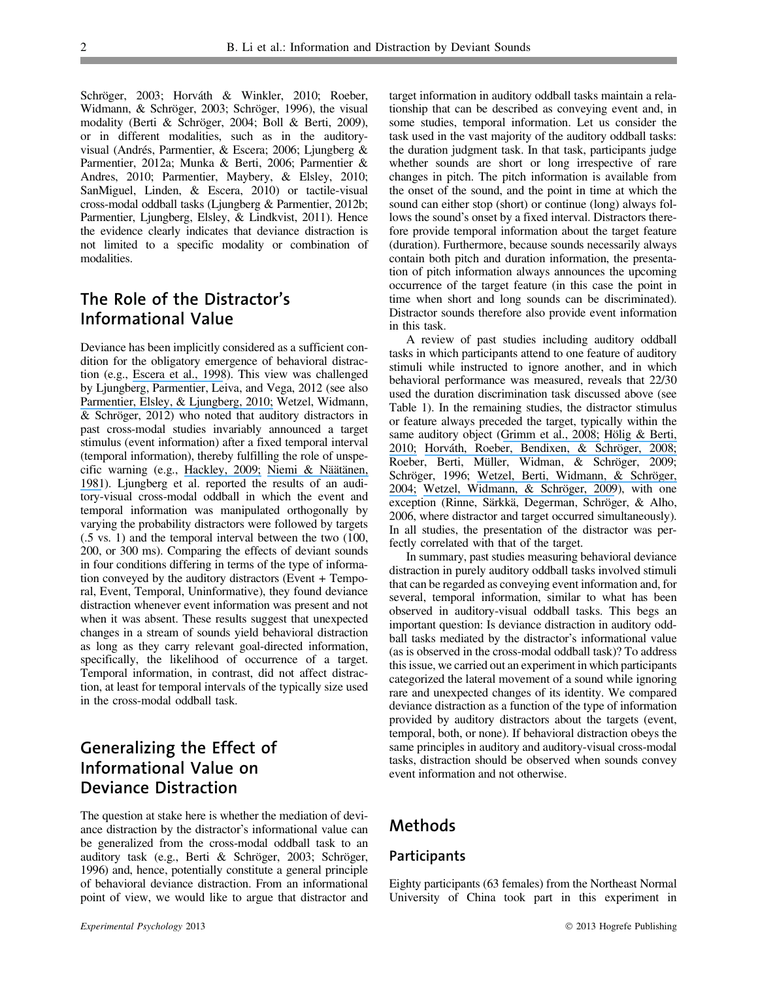Schröger, 2003; Horváth & Winkler, 2010; Roeber, Widmann, & Schröger, 2003; Schröger, 1996), the visual modality (Berti & Schröger, 2004; Boll & Berti, 2009), or in different modalities, such as in the auditoryvisual (Andrés, Parmentier, & Escera; 2006; Ljungberg & Parmentier, 2012a; Munka & Berti, 2006; Parmentier & Andres, 2010; Parmentier, Maybery, & Elsley, 2010; SanMiguel, Linden, & Escera, 2010) or tactile-visual cross-modal oddball tasks (Ljungberg & Parmentier, 2012b; Parmentier, Ljungberg, Elsley, & Lindkvist, 2011). Hence the evidence clearly indicates that deviance distraction is not limited to a specific modality or combination of modalities.

### The Role of the Distractor's Informational Value

Deviance has been implicitly considered as a sufficient condition for the obligatory emergence of behavioral distraction (e.g., [Escera et al., 1998](https://www.researchgate.net/publication/13483513_Neural_Mechanisms_of_Involuntary_Attention_to_Acoustic_Novelty_and_Change?el=1_x_8&enrichId=rgreq-667e20b14c37f2c161fa241115292ef8-XXX&enrichSource=Y292ZXJQYWdlOzIzNjU4MDQ5OTtBUzo5ODg5NzczNzI4OTc0MkAxNDAwNTkwNDY2OTgx)). This view was challenged by Ljungberg, Parmentier, Leiva, and Vega, 2012 (see also [Parmentier, Elsley, & Ljungberg, 2010;](https://www.researchgate.net/publication/42588677_Behavioral_distraction_by_auditory_novelty_is_not_only_about_novelty_The_role_of_the_distracter) Wetzel, Widmann,  $& Schröger, 2012)$  who noted that auditory distractors in past cross-modal studies invariably announced a target stimulus (event information) after a fixed temporal interval (temporal information), thereby fulfilling the role of unspe-cific warning (e.g., [Hackley, 2009;](https://www.researchgate.net/publication/23276659_The_speeding_of_voluntary_reaction_by_a_warning_signal_Presidential_Address_2006?el=1_x_8&enrichId=rgreq-667e20b14c37f2c161fa241115292ef8-XXX&enrichSource=Y292ZXJQYWdlOzIzNjU4MDQ5OTtBUzo5ODg5NzczNzI4OTc0MkAxNDAwNTkwNDY2OTgx) Niemi & Näätänen, [1981](https://www.researchgate.net/publication/222238945_Non-aging_foreperiod_and_simple_reaction_time?el=1_x_8&enrichId=rgreq-667e20b14c37f2c161fa241115292ef8-XXX&enrichSource=Y292ZXJQYWdlOzIzNjU4MDQ5OTtBUzo5ODg5NzczNzI4OTc0MkAxNDAwNTkwNDY2OTgx)). Ljungberg et al. reported the results of an auditory-visual cross-modal oddball in which the event and temporal information was manipulated orthogonally by varying the probability distractors were followed by targets (.5 vs. 1) and the temporal interval between the two (100, 200, or 300 ms). Comparing the effects of deviant sounds in four conditions differing in terms of the type of information conveyed by the auditory distractors (Event + Temporal, Event, Temporal, Uninformative), they found deviance distraction whenever event information was present and not when it was absent. These results suggest that unexpected changes in a stream of sounds yield behavioral distraction as long as they carry relevant goal-directed information, specifically, the likelihood of occurrence of a target. Temporal information, in contrast, did not affect distraction, at least for temporal intervals of the typically size used in the cross-modal oddball task.

## Generalizing the Effect of Informational Value on Deviance Distraction

The question at stake here is whether the mediation of deviance distraction by the distractor's informational value can be generalized from the cross-modal oddball task to an auditory task (e.g., Berti & Schröger, 2003; Schröger, 1996) and, hence, potentially constitute a general principle of behavioral deviance distraction. From an informational point of view, we would like to argue that distractor and

target information in auditory oddball tasks maintain a relationship that can be described as conveying event and, in some studies, temporal information. Let us consider the task used in the vast majority of the auditory oddball tasks: the duration judgment task. In that task, participants judge whether sounds are short or long irrespective of rare changes in pitch. The pitch information is available from the onset of the sound, and the point in time at which the sound can either stop (short) or continue (long) always follows the sound's onset by a fixed interval. Distractors therefore provide temporal information about the target feature (duration). Furthermore, because sounds necessarily always contain both pitch and duration information, the presentation of pitch information always announces the upcoming occurrence of the target feature (in this case the point in time when short and long sounds can be discriminated). Distractor sounds therefore also provide event information in this task.

A review of past studies including auditory oddball tasks in which participants attend to one feature of auditory stimuli while instructed to ignore another, and in which behavioral performance was measured, reveals that 22/30 used the duration discrimination task discussed above (see Table 1). In the remaining studies, the distractor stimulus or feature always preceded the target, typically within the same auditory object ([Grimm et al., 2008;](https://www.researchgate.net/publication/5562106_Optimizing_the_auditory_distraction_paradigm_Behavioral_and_event-related_potential_effects_in_a_lateralized_multi-deviant_approach?el=1_x_8&enrichId=rgreq-667e20b14c37f2c161fa241115292ef8-XXX&enrichSource=Y292ZXJQYWdlOzIzNjU4MDQ5OTtBUzo5ODg5NzczNzI4OTc0MkAxNDAwNTkwNDY2OTgx) Hölig & Berti, [2010;](https://www.researchgate.net/publication/44802617_To_switch_or_not_to_switch_Brain_potential_indices_of_attentional_control_after_task-relevant_and_task-irrelevant_changes_of_stimulus_features?el=1_x_8&enrichId=rgreq-667e20b14c37f2c161fa241115292ef8-XXX&enrichSource=Y292ZXJQYWdlOzIzNjU4MDQ5OTtBUzo5ODg5NzczNzI4OTc0MkAxNDAwNTkwNDY2OTgx) Horváth, Roeber, Bendixen, & Schröger, 2008; Roeber, Berti, Müller, Widman, & Schröger, 2009; Schröger, 1996; Wetzel, Berti, Widmann, & Schröger, [2004;](https://www.researchgate.net/publication/8538265_Distraction_and_reorientation_in_children_A_behavioral_and_ERP_study?el=1_x_8&enrichId=rgreq-667e20b14c37f2c161fa241115292ef8-XXX&enrichSource=Y292ZXJQYWdlOzIzNjU4MDQ5OTtBUzo5ODg5NzczNzI4OTc0MkAxNDAwNTkwNDY2OTgx) Wetzel, Widmann, & Schröger, 2009), with one exception (Rinne, Särkkä, Degerman, Schröger, & Alho, 2006, where distractor and target occurred simultaneously). In all studies, the presentation of the distractor was perfectly correlated with that of the target.

In summary, past studies measuring behavioral deviance distraction in purely auditory oddball tasks involved stimuli that can be regarded as conveying event information and, for several, temporal information, similar to what has been observed in auditory-visual oddball tasks. This begs an important question: Is deviance distraction in auditory oddball tasks mediated by the distractor's informational value (as is observed in the cross-modal oddball task)? To address this issue, we carried out an experiment in which participants categorized the lateral movement of a sound while ignoring rare and unexpected changes of its identity. We compared deviance distraction as a function of the type of information provided by auditory distractors about the targets (event, temporal, both, or none). If behavioral distraction obeys the same principles in auditory and auditory-visual cross-modal tasks, distraction should be observed when sounds convey event information and not otherwise.

#### Methods

#### Participants

Eighty participants (63 females) from the Northeast Normal University of China took part in this experiment in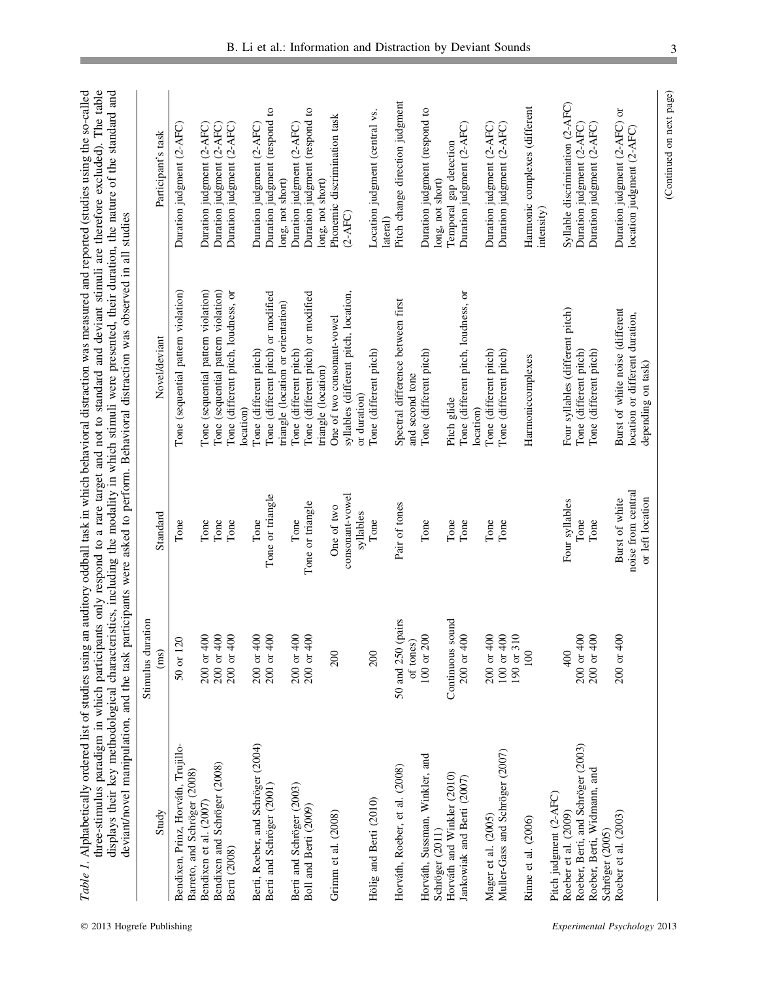|                                                                     |                           |                                                          | three-stimulus paradigm in which participants only respond to a rare target and not to standard and deviant stimuli are therefore excluded). The table<br>displays their key methodological characteristics, including the modality in which stimuli were presented, their duration, the nature of the standard and<br>Table 1. Alphabetically ordered list of studies using an auditory oddball task in which behavioral distraction was measured and reported (studies using the so-called<br>deviant/novel manipulation, and the task participants were asked to perform. Behavioral distraction was observed in all studies |                                                              |
|---------------------------------------------------------------------|---------------------------|----------------------------------------------------------|---------------------------------------------------------------------------------------------------------------------------------------------------------------------------------------------------------------------------------------------------------------------------------------------------------------------------------------------------------------------------------------------------------------------------------------------------------------------------------------------------------------------------------------------------------------------------------------------------------------------------------|--------------------------------------------------------------|
| Study                                                               | Stimulus duration<br>(ms) | Standard                                                 | Novel/deviant                                                                                                                                                                                                                                                                                                                                                                                                                                                                                                                                                                                                                   | Participant's task                                           |
| Bendixen, Prinz, Horváth, Trujillo-<br>Barreto, and Schröger (2008) | 50 or 120                 | Tone                                                     | Tone (sequential pattern violation)                                                                                                                                                                                                                                                                                                                                                                                                                                                                                                                                                                                             | Duration judgment (2-AFC)                                    |
| Bendixen et al. (2007)                                              | 200 or 400                | Tone                                                     | Tone (sequential pattern violation)                                                                                                                                                                                                                                                                                                                                                                                                                                                                                                                                                                                             | Duration judgment (2-AFC)                                    |
| Bendixen and Schröger (2008)                                        | 200 or 400                | Tone                                                     | Tone (sequential pattern violation)                                                                                                                                                                                                                                                                                                                                                                                                                                                                                                                                                                                             | Duration judgment (2-AFC)                                    |
| Berti (2008)                                                        | $200$ or $400$            | Tone                                                     | Tone (different pitch, loudness, or                                                                                                                                                                                                                                                                                                                                                                                                                                                                                                                                                                                             | Duration judgment (2-AFC)                                    |
| Berti, Roeber, and Schröger (2004)                                  | 200 or 400                | Tone                                                     | Tone (different pitch)<br>location)                                                                                                                                                                                                                                                                                                                                                                                                                                                                                                                                                                                             | Duration judgment (2-AFC)                                    |
| Berti and Schröger (2001)                                           | 200 or 400                | Tone or triangle                                         | Tone (different pitch) or modified                                                                                                                                                                                                                                                                                                                                                                                                                                                                                                                                                                                              | Duration judgment (respond to                                |
|                                                                     |                           |                                                          | triangle (location or orientation)                                                                                                                                                                                                                                                                                                                                                                                                                                                                                                                                                                                              | long, not short)                                             |
| Berti and Schröger (2003)                                           | 200 or 400                | Tone                                                     | Tone (different pitch)                                                                                                                                                                                                                                                                                                                                                                                                                                                                                                                                                                                                          | Duration judgment (2-AFC)                                    |
| Boll and Berti (2009)                                               | 200 or 400                | Tone or triangle                                         | Tone (different pitch) or modified                                                                                                                                                                                                                                                                                                                                                                                                                                                                                                                                                                                              | Duration judgment (respond to                                |
|                                                                     |                           |                                                          | triangle (location)                                                                                                                                                                                                                                                                                                                                                                                                                                                                                                                                                                                                             | long, not short)                                             |
| Grimm et al. (2008)                                                 | 200                       | One of two                                               | One of two consonant-vowel                                                                                                                                                                                                                                                                                                                                                                                                                                                                                                                                                                                                      | Phonemic discrimination task                                 |
|                                                                     |                           | consonant-vowel                                          | syllables (different pitch, location,                                                                                                                                                                                                                                                                                                                                                                                                                                                                                                                                                                                           | $(2-AFC)$                                                    |
|                                                                     |                           | syllables                                                | or duration)                                                                                                                                                                                                                                                                                                                                                                                                                                                                                                                                                                                                                    |                                                              |
| Hölig and Berti (2010)                                              | 200                       | Tone                                                     | Tone (different pitch)                                                                                                                                                                                                                                                                                                                                                                                                                                                                                                                                                                                                          | Location judgment (central vs.<br>lateral)                   |
| Horváth, Roeber, et al. (2008)                                      | 50 and 250 (pairs         | Pair of tones                                            | Spectral difference between first                                                                                                                                                                                                                                                                                                                                                                                                                                                                                                                                                                                               | Pitch change direction judgment                              |
|                                                                     | of tones)                 |                                                          | and second tone                                                                                                                                                                                                                                                                                                                                                                                                                                                                                                                                                                                                                 |                                                              |
| Horváth, Sussman, Winkler, and<br>Schröger (2011)                   | $100$ or $200\,$          | Tone                                                     | Tone (different pitch)                                                                                                                                                                                                                                                                                                                                                                                                                                                                                                                                                                                                          | Duration judgment (respond to<br>long, not short)            |
| Horváth and Winkler (2010)                                          | Continuous sound          | Tone                                                     | Pitch glide                                                                                                                                                                                                                                                                                                                                                                                                                                                                                                                                                                                                                     | Temporal gap detection                                       |
| ankowiak and Berti (2007)                                           | 200 or 400                | Tone                                                     | Tone (different pitch, loudness, or                                                                                                                                                                                                                                                                                                                                                                                                                                                                                                                                                                                             | Duration judgment (2-AFC)                                    |
|                                                                     |                           |                                                          | location)                                                                                                                                                                                                                                                                                                                                                                                                                                                                                                                                                                                                                       |                                                              |
| Muller-Gass and Schröger (2007)<br>Mager et al. (2005)              | 200 or 400<br>100 or 400  | Tone<br>Tone                                             | Tone (different pitch)<br>Tone (different pitch)                                                                                                                                                                                                                                                                                                                                                                                                                                                                                                                                                                                | Duration judgment (2-AFC)<br>Duration judgment (2-AFC)       |
|                                                                     | 190 or 310                |                                                          |                                                                                                                                                                                                                                                                                                                                                                                                                                                                                                                                                                                                                                 |                                                              |
| Rinne et al. (2006)                                                 | 100                       |                                                          | Harmoniccomplexes                                                                                                                                                                                                                                                                                                                                                                                                                                                                                                                                                                                                               | Harmonic complexes (different<br>intensity)                  |
| Pitch judgment (2-AFC)                                              |                           |                                                          |                                                                                                                                                                                                                                                                                                                                                                                                                                                                                                                                                                                                                                 |                                                              |
| Roeber et al. (2009)                                                | 200 or 400<br>400         | Four syllables<br>Tone                                   | Four syllables (different pitch)<br>Tone (different pitch)                                                                                                                                                                                                                                                                                                                                                                                                                                                                                                                                                                      | Syllable discrimination (2-AFC)<br>Duration judgment (2-AFC) |
| Roeber, Berti, and Schröger (2003)<br>Roeber, Berti, Widmann, and   | 200 or 400                | Tone                                                     | Tone (different pitch)                                                                                                                                                                                                                                                                                                                                                                                                                                                                                                                                                                                                          | Duration judgment (2-AFC)                                    |
| Schröger (2005)                                                     |                           |                                                          |                                                                                                                                                                                                                                                                                                                                                                                                                                                                                                                                                                                                                                 |                                                              |
| Roeber et al. (2003)                                                | 200 or 400                | noise from central<br>Burst of white<br>or left location | Burst of white noise (different<br>location or different duration,<br>depending on task)                                                                                                                                                                                                                                                                                                                                                                                                                                                                                                                                        | Duration judgment (2-AFC) or<br>location judgment (2-AFC)    |
|                                                                     |                           |                                                          |                                                                                                                                                                                                                                                                                                                                                                                                                                                                                                                                                                                                                                 |                                                              |

m.

(Continued on next page)

(Continued on next page)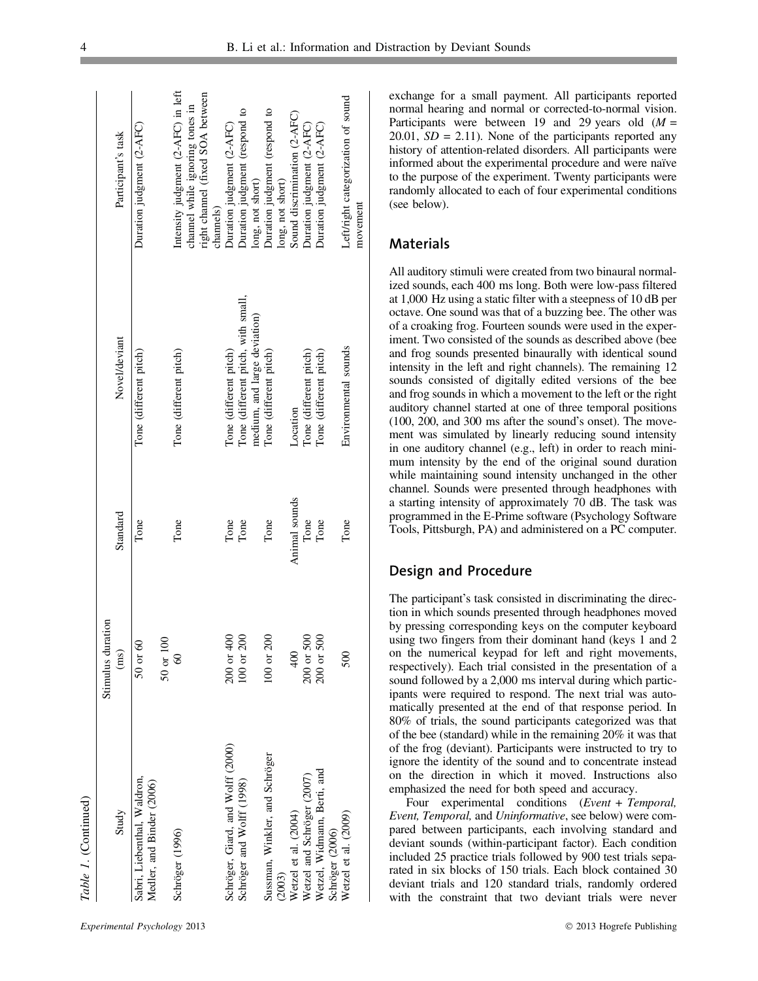| Table 1. (Continued)                                     |                   |               |                                    |                                                                     |
|----------------------------------------------------------|-------------------|---------------|------------------------------------|---------------------------------------------------------------------|
|                                                          | Stimulus duration |               |                                    |                                                                     |
| Study                                                    | (ms)              | Standard      | Novel/deviant                      | Participant's task                                                  |
| Sabri, Liebenthal, Waldron,<br>Medler, and Binder (2006) | $50$ or $60$      | Tone          | Tone (different pitch)             | Duration judgment (2-AFC)                                           |
|                                                          | $50$ or $100$     |               |                                    |                                                                     |
| Schröger (1996)                                          | $\degree$         | Tone          | Tone (different pitch)             | Intensity judgment (2-AFC) in left                                  |
|                                                          |                   |               |                                    | right channel (fixed SOA between<br>channel while ignoring tones in |
|                                                          |                   |               |                                    | channels)                                                           |
| Schröger, Giard, and Wolff (2000)                        | $200$ or $400$    | Tone          | Tone (different pitch)             | Duration judgment (2-AFC)                                           |
| Schröger and Wolff (1998)                                | 200<br>$100$ or 2 | Tone          | Tone (different pitch, with small, | Duration judgment (respond to                                       |
|                                                          |                   |               | medium, and large deviation)       | long, not short)                                                    |
| Sussman, Winkler, and Schröger<br>(2003)                 | $100$ or $200$    | Tone          | Tone (different pitch)             | Duration judgment (respond to<br>long, not short)                   |
| Wetzel et al. (2004)                                     | $rac{400}{1}$     | Animal sounds | Location                           | Sound discrimination (2-AFC)                                        |
| Wetzel and Schröger (2007)                               | $200$ or $500$    | Tone          | Tone (different pitch)             | Ouration judgment (2-AFC)                                           |
| Wetzel, Widmann, Berti, and                              | 200 or 500        | Tone          | Tone (different pitch)             | Duration judgment (2-AFC)                                           |
| Schröger (2006)                                          |                   |               |                                    |                                                                     |
| Wetzel et al. (2009)                                     | 500               | Tone          | Environmental sounds               | Left/right categorization of sound                                  |
|                                                          |                   |               |                                    | movement                                                            |

in left<br>s in<br>stween

exchange for a small payment. All participants reported normal hearing and normal or corrected-to-normal vision. Participants were between 19 and 29 years old  $(M =$  $20.01$ ,  $SD = 2.11$ ). None of the participants reported any history of attention-related disorders. All participants were informed about the experimental procedure and were naïve to the purpose of the experiment. Twenty participants were randomly allocated to each of four experimental conditions (see below).

#### **Materials**

B. Li et al.: Information and Distraction by Deviant Sounds

All auditory stimuli were created from two binaural normalized sounds, each 400 ms long. Both were low-pass filtered at 1,000 Hz using a static filter with a steepness of 10 dB per octave. One sound was that of a buzzing bee. The other was of a croaking frog. Fourteen sounds were used in the experiment. Two consisted of the sounds as described above (bee and frog sounds presented binaurally with identical sound intensity in the left and right channels). The remaining 12 sounds consisted of digitally edited versions of the bee and frog sounds in which a movement to the left or the right auditory channel started at one of three temporal positions (100, 200, and 300 ms after the sound's onset). The movement was simulated by linearly reducing sound intensity in one auditory channel (e.g., left) in order to reach minimum intensity by the end of the original sound duration while maintaining sound intensity unchanged in the other channel. Sounds were presented through headphones with a starting intensity of approximately 70 dB. The task was programmed in the E-Prime software (Psychology Software Tools, Pittsburgh, PA) and administered on a PC computer.

#### Design and Procedure

The participant's task consisted in discriminating the direction in which sounds presented through headphones moved by pressing corresponding keys on the computer keyboard using two fingers from their dominant hand (keys 1 and 2 on the numerical keypad for left and right movements, respectively). Each trial consisted in the presentation of a sound followed by a 2,000 ms interval during which participants were required to respond. The next trial was automatically presented at the end of that response period. In 80% of trials, the sound participants categorized was that of the bee (standard) while in the remaining 20% it was that of the frog (deviant). Participants were instructed to try to ignore the identity of the sound and to concentrate instead on the direction in which it moved. Instructions also emphasized the need for both speed and accuracy.

Four experimental conditions (Event + Temporal, Event, Temporal, and Uninformative, see below) were compared between participants, each involving standard and deviant sounds (within-participant factor). Each condition included 25 practice trials followed by 900 test trials separated in six blocks of 150 trials. Each block contained 30 deviant trials and 120 standard trials, randomly ordered with the constraint that two deviant trials were never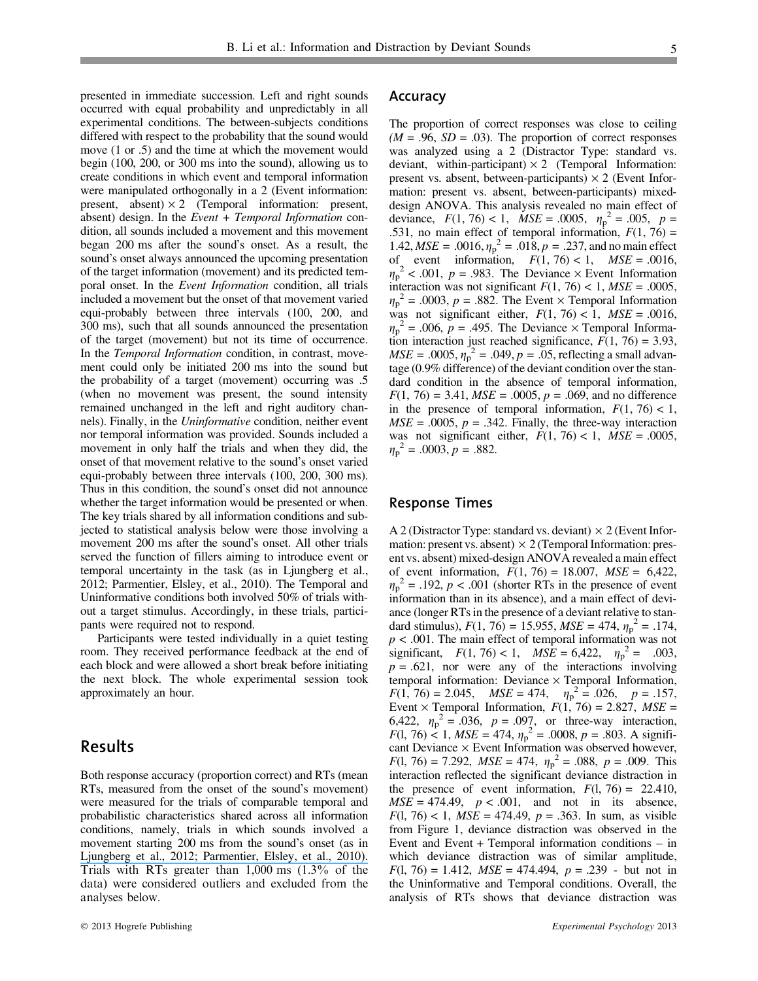Accuracy

presented in immediate succession. Left and right sounds occurred with equal probability and unpredictably in all experimental conditions. The between-subjects conditions differed with respect to the probability that the sound would move (1 or .5) and the time at which the movement would begin (100, 200, or 300 ms into the sound), allowing us to create conditions in which event and temporal information were manipulated orthogonally in a 2 (Event information: present, absent)  $\times$  2 (Temporal information: present, absent) design. In the Event + Temporal Information condition, all sounds included a movement and this movement began 200 ms after the sound's onset. As a result, the sound's onset always announced the upcoming presentation of the target information (movement) and its predicted temporal onset. In the Event Information condition, all trials included a movement but the onset of that movement varied equi-probably between three intervals (100, 200, and 300 ms), such that all sounds announced the presentation of the target (movement) but not its time of occurrence. In the Temporal Information condition, in contrast, movement could only be initiated 200 ms into the sound but the probability of a target (movement) occurring was .5 (when no movement was present, the sound intensity remained unchanged in the left and right auditory channels). Finally, in the *Uninformative* condition, neither event nor temporal information was provided. Sounds included a movement in only half the trials and when they did, the onset of that movement relative to the sound's onset varied equi-probably between three intervals (100, 200, 300 ms). Thus in this condition, the sound's onset did not announce whether the target information would be presented or when. The key trials shared by all information conditions and subjected to statistical analysis below were those involving a movement 200 ms after the sound's onset. All other trials served the function of fillers aiming to introduce event or temporal uncertainty in the task (as in Ljungberg et al., 2012; Parmentier, Elsley, et al., 2010). The Temporal and Uninformative conditions both involved 50% of trials without a target stimulus. Accordingly, in these trials, participants were required not to respond.

Participants were tested individually in a quiet testing room. They received performance feedback at the end of each block and were allowed a short break before initiating the next block. The whole experimental session took approximately an hour.

#### Results

Both response accuracy (proportion correct) and RTs (mean RTs, measured from the onset of the sound's movement) were measured for the trials of comparable temporal and probabilistic characteristics shared across all information conditions, namely, trials in which sounds involved a movement starting 200 ms from the sound's onset (as in [Ljungberg et al., 2012; Parmentier, Elsley, et al., 2010](https://www.researchgate.net/publication/41548044_The_Involuntary_Capture_of_Attention_by_Sound_Novelty_and_Postnovelty_Distraction_in_Young_and_Older_Adults?el=1_x_8&enrichId=rgreq-667e20b14c37f2c161fa241115292ef8-XXX&enrichSource=Y292ZXJQYWdlOzIzNjU4MDQ5OTtBUzo5ODg5NzczNzI4OTc0MkAxNDAwNTkwNDY2OTgx)). Trials with RTs greater than 1,000 ms (1.3% of the data) were considered outliers and excluded from the analyses below.

was analyzed using a 2 (Distractor Type: standard vs. deviant, within-participant)  $\times$  2 (Temporal Information: present vs. absent, between-participants)  $\times$  2 (Event Information: present vs. absent, between-participants) mixeddesign ANOVA. This analysis revealed no main effect of deviance,  $F(1, 76) < 1$ ,  $\overline{MSE} = .0005$ ,  $\eta_p^2 = .005$ ,  $p = 531$  no main effect of temporal information  $F(1, 76) =$ .531, no main effect of temporal information,  $F(1, 76) =$ 1.42,  $MSE = .0016$ ,  $\eta_p^2 = .018$ ,  $p = .237$ , and no main effect<br>of event information  $F(1, 76) < 1$   $MSE = .0016$ of event information,  $F(1, 76) < 1$ ,  $MSE = .0016$ ,  $\eta_p^2$  < .001, p = .983. The Deviance  $\times$  Event Information interaction was not significant  $F(1, 76) < 1$  MSE = .0005 interaction was not significant  $F(1, 76) < 1$ ,  $MSE = .0005$ ,  $\eta_p$  = .0005,  $p$  = .882. The Event × Temporal information<br>was not significant either,  $F(1, 76) < 1$ ,  $MSE = .0016$ ,  $\eta_{\rm p}^2$  = .0003, p = .882. The Event  $\times$  Temporal Information  $\eta_p$  = .006, *p* = .495. The Deviance × Temporal Informa-<br>tion interaction just reached significance, *F*(1, 76) = 3.93,  ${\eta_{\rm p}}^2$  = .006,  $p = .495$ . The Deviance  $\times$  Temporal Informa- $MSE = .0005$ ,  $\eta_P^2 = .049$ ,  $p = .05$ , reflecting a small advan-<br>tage (0.9% difference) of the deviant condition over the stantage (0.9% difference) of the deviant condition over the standard condition in the absence of temporal information,  $F(1, 76) = 3.41, MSE = .0005, p = .069$ , and no difference in the presence of temporal information,  $F(1, 76) < 1$ ,  $MSE = .0005$ ,  $p = .342$ . Finally, the three-way interaction was not significant either,  $F(1, 76) < 1$ ,  $MSE = .0005$ ,  $\eta_p^2 = .0003, p = .882.$ 

The proportion of correct responses was close to ceiling  $(M = .96, SD = .03)$ . The proportion of correct responses

#### Response Times

A 2 (Distractor Type: standard vs. deviant)  $\times$  2 (Event Information: present vs. absent)  $\times$  2 (Temporal Information: present vs. absent) mixed-design ANOVA revealed a main effect of event information,  $F(1, 76) = 18.007$ ,  $MSE = 6,422$ ,  $\eta_p$  = .192,  $p$  < .001 (shorter K1s in the presence of event information than in its absence), and a main effect of devi- $\eta_{\rm p}^2$  = .192, p < .001 (shorter RTs in the presence of event ance (longer RTs in the presence of a deviant relative to standard stimulus),  $F(1, 76) = 15.955$ ,  $MSE = 474$ ,  $\eta_p^2 = .174$ ,  $n < .001$ . The main effect of temporal information was not  $p < .001$ . The main effect of temporal information was not significant,  $F(1, 76) < 1$ ,  $MSE = 6,422$ ,  $\eta_p^2 = .003$ ,  $p = .621$  nor were any of the interactions involving  $p = .621$ , nor were any of the interactions involving temporal information: Deviance  $\times$  Temporal Information,  $F(1, 76) = 2.045$ ,  $MSE = 474$ ,  $\eta_p^2 = .026$ ,  $p = .157$ ,<br>Event  $\times$  Temporal Information  $F(1, 76) = 2.827$   $MSE =$ Event  $\times$  Temporal Information,  $F(1, 76) = 2.827$ ,  $MSE =$ 6,422,  $\eta_p^2 = .036$ ,  $p = .097$ , or three-way interaction,<br>  $F(1, 76) < 1$  MSE = 474  $n^2 = .0008$   $n = .803$  A signifi- $F(1, 76) \le 1$ ,  $MSE = 474$ ,  $\eta_p^2 = .0008$ ,  $p = .803$ . A significant Deviance  $\times$  Event Information was observed however cant Deviance  $\times$  Event Information was observed however,  $F(1, 76) = 7.292$ ,  $MSE = 474$ ,  $\eta_p^2 = .088$ ,  $p = .009$ . This interaction reflected the significant deviance distraction in interaction reflected the significant deviance distraction in the presence of event information,  $F(1, 76) = 22.410$ ,  $MSE = 474.49$ ,  $p < .001$ , and not in its absence,  $F(1, 76) < 1$ ,  $MSE = 474.49$ ,  $p = .363$ . In sum, as visible from Figure 1, deviance distraction was observed in the Event and Event + Temporal information conditions – in which deviance distraction was of similar amplitude,  $F(1, 76) = 1.412$ ,  $MSE = 474.494$ ,  $p = .239$  - but not in the Uninformative and Temporal conditions. Overall, the analysis of RTs shows that deviance distraction was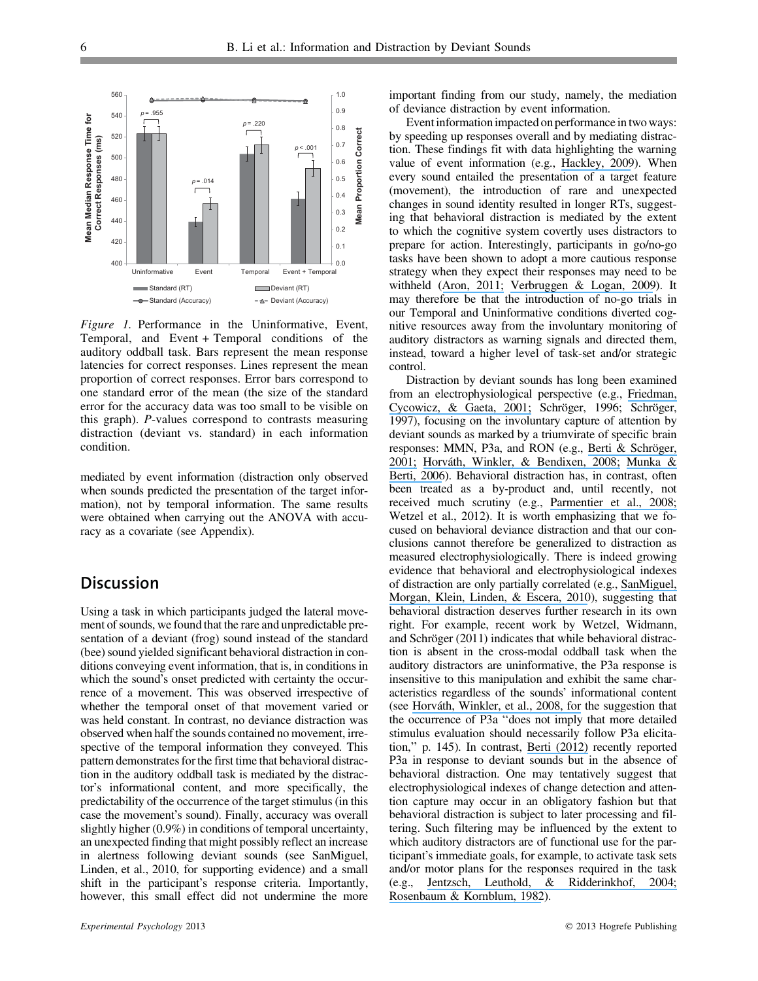

mediated by event information (distraction only observed when sounds predicted the presentation of the target information), not by temporal information. The same results were obtained when carrying out the ANOVA with accuracy as a covariate (see Appendix).

#### **Discussion**

Using a task in which participants judged the lateral movement of sounds, we found that the rare and unpredictable presentation of a deviant (frog) sound instead of the standard (bee) sound yielded significant behavioral distraction in conditions conveying event information, that is, in conditions in which the sound's onset predicted with certainty the occurrence of a movement. This was observed irrespective of whether the temporal onset of that movement varied or was held constant. In contrast, no deviance distraction was observed when half the sounds contained no movement, irrespective of the temporal information they conveyed. This pattern demonstrates for the first time that behavioral distraction in the auditory oddball task is mediated by the distractor's informational content, and more specifically, the predictability of the occurrence of the target stimulus (in this case the movement's sound). Finally, accuracy was overall slightly higher (0.9%) in conditions of temporal uncertainty, an unexpected finding that might possibly reflect an increase in alertness following deviant sounds (see SanMiguel, Linden, et al., 2010, for supporting evidence) and a small shift in the participant's response criteria. Importantly, however, this small effect did not undermine the more

important finding from our study, namely, the mediation of deviance distraction by event information.

Event information impacted on performance in two ways: by speeding up responses overall and by mediating distraction. These findings fit with data highlighting the warning value of event information (e.g., [Hackley, 2009](https://www.researchgate.net/publication/23276659_The_speeding_of_voluntary_reaction_by_a_warning_signal_Presidential_Address_2006?el=1_x_8&enrichId=rgreq-667e20b14c37f2c161fa241115292ef8-XXX&enrichSource=Y292ZXJQYWdlOzIzNjU4MDQ5OTtBUzo5ODg5NzczNzI4OTc0MkAxNDAwNTkwNDY2OTgx)). When every sound entailed the presentation of a target feature (movement), the introduction of rare and unexpected changes in sound identity resulted in longer RTs, suggesting that behavioral distraction is mediated by the extent to which the cognitive system covertly uses distractors to prepare for action. Interestingly, participants in go/no-go tasks have been shown to adopt a more cautious response strategy when they expect their responses may need to be withheld ([Aron, 2011;](https://www.researchgate.net/publication/47381737_From_Reactive_to_Proactive_and_Selective_Control_Developing_a_Richer_Model_for_Stopping_Inappropriate_Responses?el=1_x_8&enrichId=rgreq-667e20b14c37f2c161fa241115292ef8-XXX&enrichSource=Y292ZXJQYWdlOzIzNjU4MDQ5OTtBUzo5ODg5NzczNzI4OTc0MkAxNDAwNTkwNDY2OTgx) [Verbruggen & Logan, 2009](https://www.researchgate.net/publication/26747141_Automaticity_of_Cognitive_Control_Goal_Priming_in_Response-Inhibition_Paradigms?el=1_x_8&enrichId=rgreq-667e20b14c37f2c161fa241115292ef8-XXX&enrichSource=Y292ZXJQYWdlOzIzNjU4MDQ5OTtBUzo5ODg5NzczNzI4OTc0MkAxNDAwNTkwNDY2OTgx)). It may therefore be that the introduction of no-go trials in our Temporal and Uninformative conditions diverted cognitive resources away from the involuntary monitoring of auditory distractors as warning signals and directed them, instead, toward a higher level of task-set and/or strategic control.

Distraction by deviant sounds has long been examined from an electrophysiological perspective (e.g., [Friedman,](https://www.researchgate.net/publication/11896535_The_novelty_P3_An_event-related_brain_potential_ERP_sign_of_the_brain) [Cycowicz, & Gaeta, 2001;](https://www.researchgate.net/publication/11896535_The_novelty_P3_An_event-related_brain_potential_ERP_sign_of_the_brain) Schröger, 1996; Schröger, 1997), focusing on the involuntary capture of attention by deviant sounds as marked by a triumvirate of specific brain responses: MMN, P3a, and RON (e.g., Berti & Schröger, [2001;](https://www.researchgate.net/publication/225188529_A_comparison_of_auditory_and_visual_distraction_effects_Behavioral_and_event-related_indices?el=1_x_8&enrichId=rgreq-667e20b14c37f2c161fa241115292ef8-XXX&enrichSource=Y292ZXJQYWdlOzIzNjU4MDQ5OTtBUzo5ODg5NzczNzI4OTc0MkAxNDAwNTkwNDY2OTgx) Horváth, Winkler, & Bendixen, 2008; Munka  $\&$ [Berti, 2006](https://www.researchgate.net/publication/7412862_Examining_task-dependencies_of_different_attentional_processes_as_reflected_in_the_P3a_and_reorienting_negativity_components_of_the_human_event-related_brain_potential?el=1_x_8&enrichId=rgreq-667e20b14c37f2c161fa241115292ef8-XXX&enrichSource=Y292ZXJQYWdlOzIzNjU4MDQ5OTtBUzo5ODg5NzczNzI4OTc0MkAxNDAwNTkwNDY2OTgx)). Behavioral distraction has, in contrast, often been treated as a by-product and, until recently, not received much scrutiny (e.g., [Parmentier et al., 2008;](https://www.researchgate.net/publication/6382601_The_cognitive_locus_of_distraction_by_acoustic_novelty_in_the_cross-modal_oddball_task?el=1_x_8&enrichId=rgreq-667e20b14c37f2c161fa241115292ef8-XXX&enrichSource=Y292ZXJQYWdlOzIzNjU4MDQ5OTtBUzo5ODg5NzczNzI4OTc0MkAxNDAwNTkwNDY2OTgx) Wetzel et al., 2012). It is worth emphasizing that we focused on behavioral deviance distraction and that our conclusions cannot therefore be generalized to distraction as measured electrophysiologically. There is indeed growing evidence that behavioral and electrophysiological indexes of distraction are only partially correlated (e.g., [SanMiguel,](https://www.researchgate.net/publication/224016345_On_the_functional_significance_of_Novelty-P3_Facilitation_by_unexpected_novel_sounds?el=1_x_8&enrichId=rgreq-667e20b14c37f2c161fa241115292ef8-XXX&enrichSource=Y292ZXJQYWdlOzIzNjU4MDQ5OTtBUzo5ODg5NzczNzI4OTc0MkAxNDAwNTkwNDY2OTgx) [Morgan, Klein, Linden, & Escera, 2010](https://www.researchgate.net/publication/224016345_On_the_functional_significance_of_Novelty-P3_Facilitation_by_unexpected_novel_sounds?el=1_x_8&enrichId=rgreq-667e20b14c37f2c161fa241115292ef8-XXX&enrichSource=Y292ZXJQYWdlOzIzNjU4MDQ5OTtBUzo5ODg5NzczNzI4OTc0MkAxNDAwNTkwNDY2OTgx)), suggesting that behavioral distraction deserves further research in its own right. For example, recent work by Wetzel, Widmann, and Schröger (2011) indicates that while behavioral distraction is absent in the cross-modal oddball task when the auditory distractors are uninformative, the P3a response is insensitive to this manipulation and exhibit the same characteristics regardless of the sounds' informational content (see Horváth, Winkler, et al., 2008, for the suggestion that the occurrence of P3a ''does not imply that more detailed stimulus evaluation should necessarily follow P3a elicitation,'' p. 145). In contrast, [Berti \(2012\)](https://www.researchgate.net/publication/221969808_Automatic_processing_of_rare_versus_novel_auditory_stimuli_reveal_different_mechanisms_of_auditory_change_detection?el=1_x_8&enrichId=rgreq-667e20b14c37f2c161fa241115292ef8-XXX&enrichSource=Y292ZXJQYWdlOzIzNjU4MDQ5OTtBUzo5ODg5NzczNzI4OTc0MkAxNDAwNTkwNDY2OTgx) recently reported P3a in response to deviant sounds but in the absence of behavioral distraction. One may tentatively suggest that electrophysiological indexes of change detection and attention capture may occur in an obligatory fashion but that behavioral distraction is subject to later processing and filtering. Such filtering may be influenced by the extent to which auditory distractors are of functional use for the participant's immediate goals, for example, to activate task sets and/or motor plans for the responses required in the task (e.g., [Jentzsch, Leuthold, & Ridderinkhof, 2004;](https://www.researchgate.net/publication/8668363_Beneficial_effects_of_ambiguous_precues_Parallel_motor_preparation_or_reduced_premotoric_processing_time?el=1_x_8&enrichId=rgreq-667e20b14c37f2c161fa241115292ef8-XXX&enrichSource=Y292ZXJQYWdlOzIzNjU4MDQ5OTtBUzo5ODg5NzczNzI4OTc0MkAxNDAwNTkwNDY2OTgx) [Rosenbaum & Kornblum, 1982](https://www.researchgate.net/publication/222448502_A_priming_method_for_investigating_the_selection_of_motor_response?el=1_x_8&enrichId=rgreq-667e20b14c37f2c161fa241115292ef8-XXX&enrichSource=Y292ZXJQYWdlOzIzNjU4MDQ5OTtBUzo5ODg5NzczNzI4OTc0MkAxNDAwNTkwNDY2OTgx)).

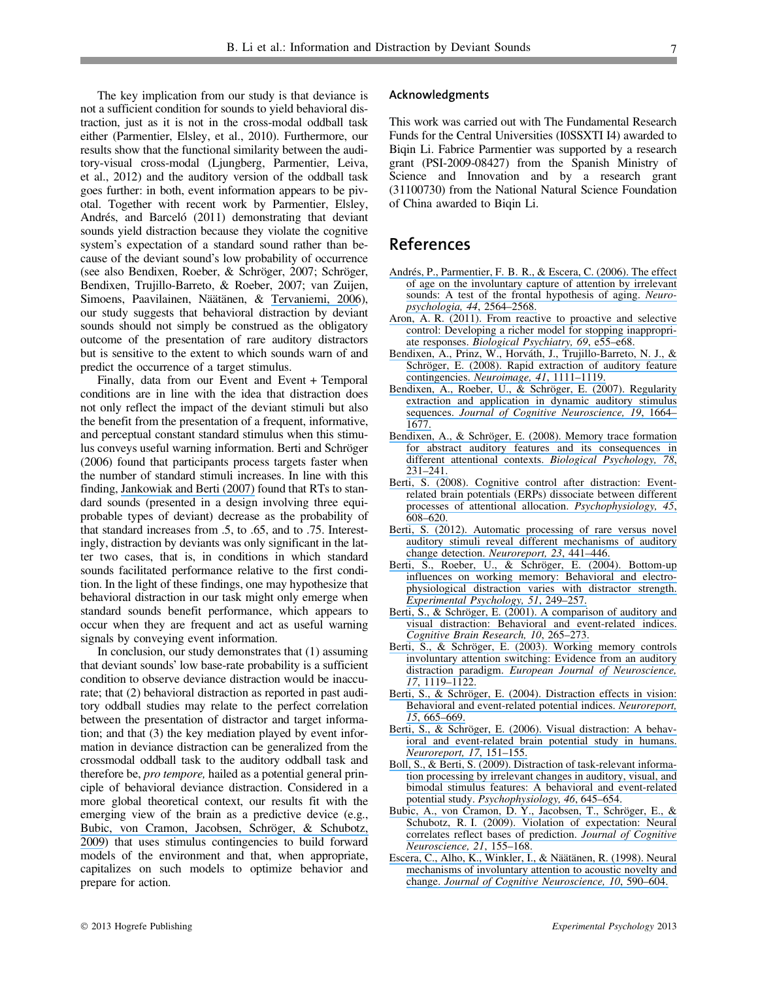The key implication from our study is that deviance is not a sufficient condition for sounds to yield behavioral distraction, just as it is not in the cross-modal oddball task either (Parmentier, Elsley, et al., 2010). Furthermore, our results show that the functional similarity between the auditory-visual cross-modal (Ljungberg, Parmentier, Leiva, et al., 2012) and the auditory version of the oddball task goes further: in both, event information appears to be pivotal. Together with recent work by Parmentier, Elsley, Andrés, and Barceló (2011) demonstrating that deviant sounds yield distraction because they violate the cognitive system's expectation of a standard sound rather than because of the deviant sound's low probability of occurrence (see also Bendixen, Roeber, & Schröger, 2007; Schröger, Bendixen, Trujillo-Barreto, & Roeber, 2007; van Zuijen, Simoens, Paavilainen, Näätänen, & [Tervaniemi, 2006](https://www.researchgate.net/publication/6927430_Implicit_Intuitive_and_Explicit_Knowledge_of_Abstract_Regularities_in_a_Sound_Sequence_An_Event-related_Brain_Potential_Study?el=1_x_8&enrichId=rgreq-667e20b14c37f2c161fa241115292ef8-XXX&enrichSource=Y292ZXJQYWdlOzIzNjU4MDQ5OTtBUzo5ODg5NzczNzI4OTc0MkAxNDAwNTkwNDY2OTgx)), our study suggests that behavioral distraction by deviant sounds should not simply be construed as the obligatory outcome of the presentation of rare auditory distractors but is sensitive to the extent to which sounds warn of and predict the occurrence of a target stimulus.

Finally, data from our Event and Event + Temporal conditions are in line with the idea that distraction does not only reflect the impact of the deviant stimuli but also the benefit from the presentation of a frequent, informative, and perceptual constant standard stimulus when this stimulus conveys useful warning information. Berti and Schröger (2006) found that participants process targets faster when the number of standard stimuli increases. In line with this finding, [Jankowiak and Berti \(2007\)](https://www.researchgate.net/publication/6562218_Behavioral_and_event-related_potential_distraction_effects_with_regularly_occurring_deviants?el=1_x_8&enrichId=rgreq-667e20b14c37f2c161fa241115292ef8-XXX&enrichSource=Y292ZXJQYWdlOzIzNjU4MDQ5OTtBUzo5ODg5NzczNzI4OTc0MkAxNDAwNTkwNDY2OTgx) found that RTs to standard sounds (presented in a design involving three equiprobable types of deviant) decrease as the probability of that standard increases from .5, to .65, and to .75. Interestingly, distraction by deviants was only significant in the latter two cases, that is, in conditions in which standard sounds facilitated performance relative to the first condition. In the light of these findings, one may hypothesize that behavioral distraction in our task might only emerge when standard sounds benefit performance, which appears to occur when they are frequent and act as useful warning signals by conveying event information.

In conclusion, our study demonstrates that (1) assuming that deviant sounds' low base-rate probability is a sufficient condition to observe deviance distraction would be inaccurate; that (2) behavioral distraction as reported in past auditory oddball studies may relate to the perfect correlation between the presentation of distractor and target information; and that (3) the key mediation played by event information in deviance distraction can be generalized from the crossmodal oddball task to the auditory oddball task and therefore be, *pro tempore*, hailed as a potential general principle of behavioral deviance distraction. Considered in a more global theoretical context, our results fit with the emerging view of the brain as a predictive device (e.g., Bubic, von Cramon, Jacobsen, Schröger, & Schubotz, [2009](https://www.researchgate.net/publication/220201166_Violation_of_Expectation_Neural_Correlates_Reflect_Bases_of_Prediction?el=1_x_8&enrichId=rgreq-667e20b14c37f2c161fa241115292ef8-XXX&enrichSource=Y292ZXJQYWdlOzIzNjU4MDQ5OTtBUzo5ODg5NzczNzI4OTc0MkAxNDAwNTkwNDY2OTgx)) that uses stimulus contingencies to build forward models of the environment and that, when appropriate, capitalizes on such models to optimize behavior and prepare for action.

#### Acknowledgments

This work was carried out with The Fundamental Research Funds for the Central Universities (I0SSXTI I4) awarded to Biqin Li. Fabrice Parmentier was supported by a research grant (PSI-2009-08427) from the Spanish Ministry of Science and Innovation and by a research grant (31100730) from the National Natural Science Foundation of China awarded to Biqin Li.

#### References

- Andrés, P., Parmentier, F. B. R., & Escera, C. (2006). The effect [of age on the involuntary capture of attention by irrelevant](https://www.researchgate.net/publication/6986090_The_effect_of_age_on_involuntary_capture_of_attention_by_irrelevant_sounds_A_test_of_the_frontal_hypothesis_of_aging?el=1_x_8&enrichId=rgreq-667e20b14c37f2c161fa241115292ef8-XXX&enrichSource=Y292ZXJQYWdlOzIzNjU4MDQ5OTtBUzo5ODg5NzczNzI4OTc0MkAxNDAwNTkwNDY2OTgx) [sounds: A test of the frontal hypothesis of aging.](https://www.researchgate.net/publication/6986090_The_effect_of_age_on_involuntary_capture_of_attention_by_irrelevant_sounds_A_test_of_the_frontal_hypothesis_of_aging?el=1_x_8&enrichId=rgreq-667e20b14c37f2c161fa241115292ef8-XXX&enrichSource=Y292ZXJQYWdlOzIzNjU4MDQ5OTtBUzo5ODg5NzczNzI4OTc0MkAxNDAwNTkwNDY2OTgx) Neuro[psychologia, 44](https://www.researchgate.net/publication/6986090_The_effect_of_age_on_involuntary_capture_of_attention_by_irrelevant_sounds_A_test_of_the_frontal_hypothesis_of_aging?el=1_x_8&enrichId=rgreq-667e20b14c37f2c161fa241115292ef8-XXX&enrichSource=Y292ZXJQYWdlOzIzNjU4MDQ5OTtBUzo5ODg5NzczNzI4OTc0MkAxNDAwNTkwNDY2OTgx), 2564–2568.
- [Aron, A. R. \(2011\). From reactive to proactive and selective](https://www.researchgate.net/publication/47381737_From_Reactive_to_Proactive_and_Selective_Control_Developing_a_Richer_Model_for_Stopping_Inappropriate_Responses?el=1_x_8&enrichId=rgreq-667e20b14c37f2c161fa241115292ef8-XXX&enrichSource=Y292ZXJQYWdlOzIzNjU4MDQ5OTtBUzo5ODg5NzczNzI4OTc0MkAxNDAwNTkwNDY2OTgx) [control: Developing a richer model for stopping inappropri](https://www.researchgate.net/publication/47381737_From_Reactive_to_Proactive_and_Selective_Control_Developing_a_Richer_Model_for_Stopping_Inappropriate_Responses?el=1_x_8&enrichId=rgreq-667e20b14c37f2c161fa241115292ef8-XXX&enrichSource=Y292ZXJQYWdlOzIzNjU4MDQ5OTtBUzo5ODg5NzczNzI4OTc0MkAxNDAwNTkwNDY2OTgx)ate responses. [Biological Psychiatry, 69](https://www.researchgate.net/publication/47381737_From_Reactive_to_Proactive_and_Selective_Control_Developing_a_Richer_Model_for_Stopping_Inappropriate_Responses?el=1_x_8&enrichId=rgreq-667e20b14c37f2c161fa241115292ef8-XXX&enrichSource=Y292ZXJQYWdlOzIzNjU4MDQ5OTtBUzo5ODg5NzczNzI4OTc0MkAxNDAwNTkwNDY2OTgx), e55–e68.
- Bendixen, A., Prinz, W., Horváth, J., Trujillo-Barreto, N. J., & Schröger, E. (2008). Rapid extraction of auditory feature contingencies. [Neuroimage, 41](https://www.researchgate.net/publication/5384816_Rapid_extraction_of_auditory_feature_contingencies?el=1_x_8&enrichId=rgreq-667e20b14c37f2c161fa241115292ef8-XXX&enrichSource=Y292ZXJQYWdlOzIzNjU4MDQ5OTtBUzo5ODg5NzczNzI4OTc0MkAxNDAwNTkwNDY2OTgx), 1111–1119.
- Bendixen, A., Roeber, U., & Schröger, E. (2007). Regularity [extraction and application in dynamic auditory stimulus](https://www.researchgate.net/publication/5579868_Regularity_Extraction_and_Application_in_Dynamic_Auditory_Stimulus_Sequences?el=1_x_8&enrichId=rgreq-667e20b14c37f2c161fa241115292ef8-XXX&enrichSource=Y292ZXJQYWdlOzIzNjU4MDQ5OTtBUzo5ODg5NzczNzI4OTc0MkAxNDAwNTkwNDY2OTgx) sequences. [Journal of Cognitive Neuroscience, 19](https://www.researchgate.net/publication/5579868_Regularity_Extraction_and_Application_in_Dynamic_Auditory_Stimulus_Sequences?el=1_x_8&enrichId=rgreq-667e20b14c37f2c161fa241115292ef8-XXX&enrichSource=Y292ZXJQYWdlOzIzNjU4MDQ5OTtBUzo5ODg5NzczNzI4OTc0MkAxNDAwNTkwNDY2OTgx), 1664– [1677.](https://www.researchgate.net/publication/5579868_Regularity_Extraction_and_Application_in_Dynamic_Auditory_Stimulus_Sequences?el=1_x_8&enrichId=rgreq-667e20b14c37f2c161fa241115292ef8-XXX&enrichSource=Y292ZXJQYWdlOzIzNjU4MDQ5OTtBUzo5ODg5NzczNzI4OTc0MkAxNDAwNTkwNDY2OTgx)
- Bendixen, A., & Schröger, E. (2008). Memory trace formation [for abstract auditory features and its consequences in](https://www.researchgate.net/publication/5412633_Memory_trace_formation_for_abstract_auditory_features_and_its_consequences_in_different_attention_contexts?el=1_x_8&enrichId=rgreq-667e20b14c37f2c161fa241115292ef8-XXX&enrichSource=Y292ZXJQYWdlOzIzNjU4MDQ5OTtBUzo5ODg5NzczNzI4OTc0MkAxNDAwNTkwNDY2OTgx) [different attentional contexts.](https://www.researchgate.net/publication/5412633_Memory_trace_formation_for_abstract_auditory_features_and_its_consequences_in_different_attention_contexts?el=1_x_8&enrichId=rgreq-667e20b14c37f2c161fa241115292ef8-XXX&enrichSource=Y292ZXJQYWdlOzIzNjU4MDQ5OTtBUzo5ODg5NzczNzI4OTc0MkAxNDAwNTkwNDY2OTgx) Biological Psychology, 78, [231–241.](https://www.researchgate.net/publication/5412633_Memory_trace_formation_for_abstract_auditory_features_and_its_consequences_in_different_attention_contexts?el=1_x_8&enrichId=rgreq-667e20b14c37f2c161fa241115292ef8-XXX&enrichSource=Y292ZXJQYWdlOzIzNjU4MDQ5OTtBUzo5ODg5NzczNzI4OTc0MkAxNDAwNTkwNDY2OTgx)
- [Berti, S. \(2008\). Cognitive control after distraction: Event](https://www.researchgate.net/publication/5506411_Cognitive_control_after_distraction_Event-related_brain_potentials_ERPs_dissociate_between_different_processes_of_attentional_allocation?el=1_x_8&enrichId=rgreq-667e20b14c37f2c161fa241115292ef8-XXX&enrichSource=Y292ZXJQYWdlOzIzNjU4MDQ5OTtBUzo5ODg5NzczNzI4OTc0MkAxNDAwNTkwNDY2OTgx)[related brain potentials \(ERPs\) dissociate between different](https://www.researchgate.net/publication/5506411_Cognitive_control_after_distraction_Event-related_brain_potentials_ERPs_dissociate_between_different_processes_of_attentional_allocation?el=1_x_8&enrichId=rgreq-667e20b14c37f2c161fa241115292ef8-XXX&enrichSource=Y292ZXJQYWdlOzIzNjU4MDQ5OTtBUzo5ODg5NzczNzI4OTc0MkAxNDAwNTkwNDY2OTgx) [processes of attentional allocation.](https://www.researchgate.net/publication/5506411_Cognitive_control_after_distraction_Event-related_brain_potentials_ERPs_dissociate_between_different_processes_of_attentional_allocation?el=1_x_8&enrichId=rgreq-667e20b14c37f2c161fa241115292ef8-XXX&enrichSource=Y292ZXJQYWdlOzIzNjU4MDQ5OTtBUzo5ODg5NzczNzI4OTc0MkAxNDAwNTkwNDY2OTgx) Psychophysiology, 45, [608–620.](https://www.researchgate.net/publication/5506411_Cognitive_control_after_distraction_Event-related_brain_potentials_ERPs_dissociate_between_different_processes_of_attentional_allocation?el=1_x_8&enrichId=rgreq-667e20b14c37f2c161fa241115292ef8-XXX&enrichSource=Y292ZXJQYWdlOzIzNjU4MDQ5OTtBUzo5ODg5NzczNzI4OTc0MkAxNDAwNTkwNDY2OTgx)
- [Berti, S. \(2012\). Automatic processing of rare versus novel](https://www.researchgate.net/publication/221969808_Automatic_processing_of_rare_versus_novel_auditory_stimuli_reveal_different_mechanisms_of_auditory_change_detection?el=1_x_8&enrichId=rgreq-667e20b14c37f2c161fa241115292ef8-XXX&enrichSource=Y292ZXJQYWdlOzIzNjU4MDQ5OTtBUzo5ODg5NzczNzI4OTc0MkAxNDAwNTkwNDY2OTgx) [auditory stimuli reveal different mechanisms of auditory](https://www.researchgate.net/publication/221969808_Automatic_processing_of_rare_versus_novel_auditory_stimuli_reveal_different_mechanisms_of_auditory_change_detection?el=1_x_8&enrichId=rgreq-667e20b14c37f2c161fa241115292ef8-XXX&enrichSource=Y292ZXJQYWdlOzIzNjU4MDQ5OTtBUzo5ODg5NzczNzI4OTc0MkAxNDAwNTkwNDY2OTgx) [change detection.](https://www.researchgate.net/publication/221969808_Automatic_processing_of_rare_versus_novel_auditory_stimuli_reveal_different_mechanisms_of_auditory_change_detection?el=1_x_8&enrichId=rgreq-667e20b14c37f2c161fa241115292ef8-XXX&enrichSource=Y292ZXJQYWdlOzIzNjU4MDQ5OTtBUzo5ODg5NzczNzI4OTc0MkAxNDAwNTkwNDY2OTgx) Neuroreport, 23, 441–446.
- Berti, S., Roeber, U., & Schröger, E. (2004). Bottom-up [influences on working memory: Behavioral and electro](https://www.researchgate.net/publication/8110911_Bottom-Up_Influences_on_Working_Memory_Behavioral_and_Electrophysiological_Distraction_Varies_with_Distractor_Strength?el=1_x_8&enrichId=rgreq-667e20b14c37f2c161fa241115292ef8-XXX&enrichSource=Y292ZXJQYWdlOzIzNjU4MDQ5OTtBUzo5ODg5NzczNzI4OTc0MkAxNDAwNTkwNDY2OTgx)[physiological distraction varies with distractor strength.](https://www.researchgate.net/publication/8110911_Bottom-Up_Influences_on_Working_Memory_Behavioral_and_Electrophysiological_Distraction_Varies_with_Distractor_Strength?el=1_x_8&enrichId=rgreq-667e20b14c37f2c161fa241115292ef8-XXX&enrichSource=Y292ZXJQYWdlOzIzNjU4MDQ5OTtBUzo5ODg5NzczNzI4OTc0MkAxNDAwNTkwNDY2OTgx) [Experimental Psychology, 51](https://www.researchgate.net/publication/8110911_Bottom-Up_Influences_on_Working_Memory_Behavioral_and_Electrophysiological_Distraction_Varies_with_Distractor_Strength?el=1_x_8&enrichId=rgreq-667e20b14c37f2c161fa241115292ef8-XXX&enrichSource=Y292ZXJQYWdlOzIzNjU4MDQ5OTtBUzo5ODg5NzczNzI4OTc0MkAxNDAwNTkwNDY2OTgx), 249–257.
- Berti, S., & Schröger, E. (2001). A comparison of auditory and [visual distraction: Behavioral and event-related indices.](https://www.researchgate.net/publication/225188529_A_comparison_of_auditory_and_visual_distraction_effects_Behavioral_and_event-related_indices?el=1_x_8&enrichId=rgreq-667e20b14c37f2c161fa241115292ef8-XXX&enrichSource=Y292ZXJQYWdlOzIzNjU4MDQ5OTtBUzo5ODg5NzczNzI4OTc0MkAxNDAwNTkwNDY2OTgx) [Cognitive Brain Research, 10](https://www.researchgate.net/publication/225188529_A_comparison_of_auditory_and_visual_distraction_effects_Behavioral_and_event-related_indices?el=1_x_8&enrichId=rgreq-667e20b14c37f2c161fa241115292ef8-XXX&enrichSource=Y292ZXJQYWdlOzIzNjU4MDQ5OTtBUzo5ODg5NzczNzI4OTc0MkAxNDAwNTkwNDY2OTgx), 265–273.
- Berti, S., & Schröger, E. (2003). Working memory controls [involuntary attention switching: Evidence from an auditory](https://www.researchgate.net/publication/10840968_Working_memory_controls_involuntary_attention_switching_Evidence_from_an_auditory_distraction_paradigm?el=1_x_8&enrichId=rgreq-667e20b14c37f2c161fa241115292ef8-XXX&enrichSource=Y292ZXJQYWdlOzIzNjU4MDQ5OTtBUzo5ODg5NzczNzI4OTc0MkAxNDAwNTkwNDY2OTgx) distraction paradigm. [European Journal of Neuroscience,](https://www.researchgate.net/publication/10840968_Working_memory_controls_involuntary_attention_switching_Evidence_from_an_auditory_distraction_paradigm?el=1_x_8&enrichId=rgreq-667e20b14c37f2c161fa241115292ef8-XXX&enrichSource=Y292ZXJQYWdlOzIzNjU4MDQ5OTtBUzo5ODg5NzczNzI4OTc0MkAxNDAwNTkwNDY2OTgx) 17[, 1119–1122.](https://www.researchgate.net/publication/10840968_Working_memory_controls_involuntary_attention_switching_Evidence_from_an_auditory_distraction_paradigm?el=1_x_8&enrichId=rgreq-667e20b14c37f2c161fa241115292ef8-XXX&enrichSource=Y292ZXJQYWdlOzIzNjU4MDQ5OTtBUzo5ODg5NzczNzI4OTc0MkAxNDAwNTkwNDY2OTgx)
- Berti, S., & Schröger, E. (2004). Distraction effects in vision: [Behavioral and event-related potential indices.](https://www.researchgate.net/publication/8610153_Distraction_effects_in_vision_Behavioral_and_event-related_potential_indices?el=1_x_8&enrichId=rgreq-667e20b14c37f2c161fa241115292ef8-XXX&enrichSource=Y292ZXJQYWdlOzIzNjU4MDQ5OTtBUzo5ODg5NzczNzI4OTc0MkAxNDAwNTkwNDY2OTgx) Neuroreport, 15[, 665–669.](https://www.researchgate.net/publication/8610153_Distraction_effects_in_vision_Behavioral_and_event-related_potential_indices?el=1_x_8&enrichId=rgreq-667e20b14c37f2c161fa241115292ef8-XXX&enrichSource=Y292ZXJQYWdlOzIzNjU4MDQ5OTtBUzo5ODg5NzczNzI4OTc0MkAxNDAwNTkwNDY2OTgx)
- Berti, S., & Schröger, E. (2006). Visual distraction: A behav[ioral and event-related brain potential study in humans.](https://www.researchgate.net/publication/7363930_Visual_distraction_A_behavioral_and_event-related_brain_potential_study_in_humans?el=1_x_8&enrichId=rgreq-667e20b14c37f2c161fa241115292ef8-XXX&enrichSource=Y292ZXJQYWdlOzIzNjU4MDQ5OTtBUzo5ODg5NzczNzI4OTc0MkAxNDAwNTkwNDY2OTgx) [Neuroreport, 17](https://www.researchgate.net/publication/7363930_Visual_distraction_A_behavioral_and_event-related_brain_potential_study_in_humans?el=1_x_8&enrichId=rgreq-667e20b14c37f2c161fa241115292ef8-XXX&enrichSource=Y292ZXJQYWdlOzIzNjU4MDQ5OTtBUzo5ODg5NzczNzI4OTc0MkAxNDAwNTkwNDY2OTgx), 151–155.
- [Boll, S., & Berti, S. \(2009\). Distraction of task-relevant informa](https://www.researchgate.net/publication/24349383_Distraction_of_task-relevant_information_processing_by_irrelevant_changes_in_auditory_visual_and_bimodal_stimulus_features_A_behavioral_and_event-related_potential_study?el=1_x_8&enrichId=rgreq-667e20b14c37f2c161fa241115292ef8-XXX&enrichSource=Y292ZXJQYWdlOzIzNjU4MDQ5OTtBUzo5ODg5NzczNzI4OTc0MkAxNDAwNTkwNDY2OTgx)[tion processing by irrelevant changes in auditory, visual, and](https://www.researchgate.net/publication/24349383_Distraction_of_task-relevant_information_processing_by_irrelevant_changes_in_auditory_visual_and_bimodal_stimulus_features_A_behavioral_and_event-related_potential_study?el=1_x_8&enrichId=rgreq-667e20b14c37f2c161fa241115292ef8-XXX&enrichSource=Y292ZXJQYWdlOzIzNjU4MDQ5OTtBUzo5ODg5NzczNzI4OTc0MkAxNDAwNTkwNDY2OTgx) [bimodal stimulus features: A behavioral and event-related](https://www.researchgate.net/publication/24349383_Distraction_of_task-relevant_information_processing_by_irrelevant_changes_in_auditory_visual_and_bimodal_stimulus_features_A_behavioral_and_event-related_potential_study?el=1_x_8&enrichId=rgreq-667e20b14c37f2c161fa241115292ef8-XXX&enrichSource=Y292ZXJQYWdlOzIzNjU4MDQ5OTtBUzo5ODg5NzczNzI4OTc0MkAxNDAwNTkwNDY2OTgx) potential study. [Psychophysiology, 46](https://www.researchgate.net/publication/24349383_Distraction_of_task-relevant_information_processing_by_irrelevant_changes_in_auditory_visual_and_bimodal_stimulus_features_A_behavioral_and_event-related_potential_study?el=1_x_8&enrichId=rgreq-667e20b14c37f2c161fa241115292ef8-XXX&enrichSource=Y292ZXJQYWdlOzIzNjU4MDQ5OTtBUzo5ODg5NzczNzI4OTc0MkAxNDAwNTkwNDY2OTgx), 645–654.
- Bubic, A., von Cramon, D. Y., Jacobsen, T., Schröger, E., & [Schubotz, R. I. \(2009\). Violation of expectation: Neural](https://www.researchgate.net/publication/220201166_Violation_of_Expectation_Neural_Correlates_Reflect_Bases_of_Prediction?el=1_x_8&enrichId=rgreq-667e20b14c37f2c161fa241115292ef8-XXX&enrichSource=Y292ZXJQYWdlOzIzNjU4MDQ5OTtBUzo5ODg5NzczNzI4OTc0MkAxNDAwNTkwNDY2OTgx) [correlates reflect bases of prediction.](https://www.researchgate.net/publication/220201166_Violation_of_Expectation_Neural_Correlates_Reflect_Bases_of_Prediction?el=1_x_8&enrichId=rgreq-667e20b14c37f2c161fa241115292ef8-XXX&enrichSource=Y292ZXJQYWdlOzIzNjU4MDQ5OTtBUzo5ODg5NzczNzI4OTc0MkAxNDAwNTkwNDY2OTgx) Journal of Cognitive [Neuroscience, 21](https://www.researchgate.net/publication/220201166_Violation_of_Expectation_Neural_Correlates_Reflect_Bases_of_Prediction?el=1_x_8&enrichId=rgreq-667e20b14c37f2c161fa241115292ef8-XXX&enrichSource=Y292ZXJQYWdlOzIzNjU4MDQ5OTtBUzo5ODg5NzczNzI4OTc0MkAxNDAwNTkwNDY2OTgx), 155–168.
- Escera, C., Alho, K., Winkler, I., & Näätänen, R. (1998). Neural [mechanisms of involuntary attention to acoustic novelty and](https://www.researchgate.net/publication/13483513_Neural_Mechanisms_of_Involuntary_Attention_to_Acoustic_Novelty_and_Change?el=1_x_8&enrichId=rgreq-667e20b14c37f2c161fa241115292ef8-XXX&enrichSource=Y292ZXJQYWdlOzIzNjU4MDQ5OTtBUzo5ODg5NzczNzI4OTc0MkAxNDAwNTkwNDY2OTgx) change. [Journal of Cognitive Neuroscience, 10](https://www.researchgate.net/publication/13483513_Neural_Mechanisms_of_Involuntary_Attention_to_Acoustic_Novelty_and_Change?el=1_x_8&enrichId=rgreq-667e20b14c37f2c161fa241115292ef8-XXX&enrichSource=Y292ZXJQYWdlOzIzNjU4MDQ5OTtBUzo5ODg5NzczNzI4OTc0MkAxNDAwNTkwNDY2OTgx), 590–604.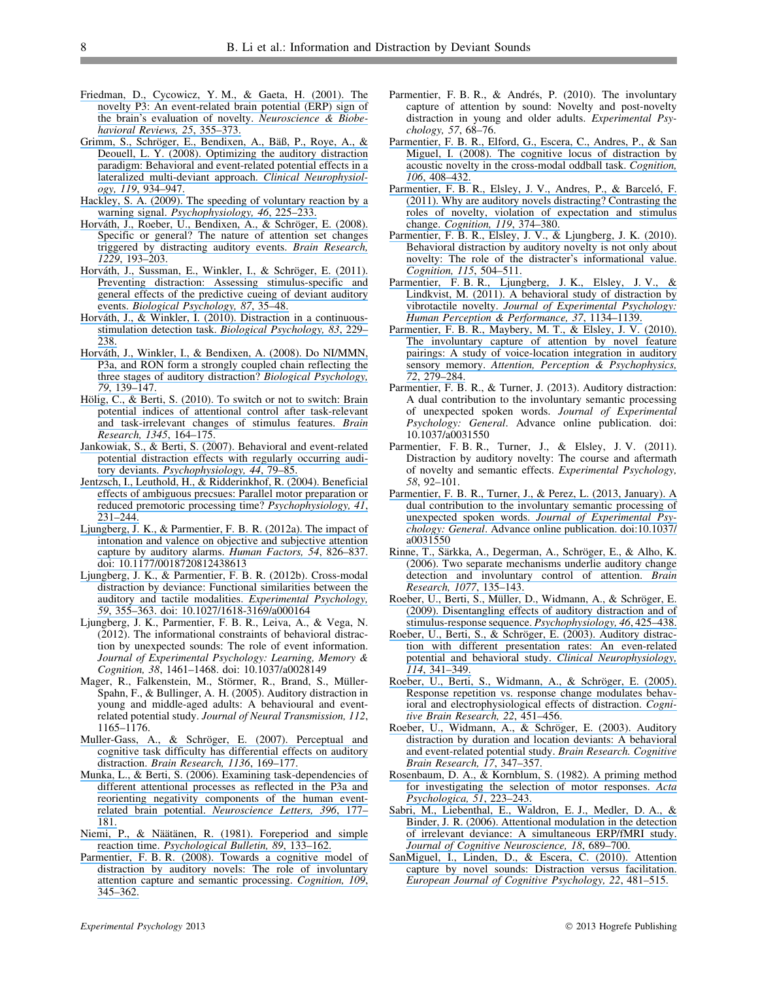- [Friedman, D., Cycowicz, Y. M., & Gaeta, H. \(2001\). The](https://www.researchgate.net/publication/11896535_The_novelty_P3_An_event-related_brain_potential_ERP_sign_of_the_brain) [novelty P3: An event-related brain potential \(ERP\) sign of](https://www.researchgate.net/publication/11896535_The_novelty_P3_An_event-related_brain_potential_ERP_sign_of_the_brain) the brain'[s evaluation of novelty.](https://www.researchgate.net/publication/11896535_The_novelty_P3_An_event-related_brain_potential_ERP_sign_of_the_brain) Neuroscience & Biobe[havioral Reviews, 25](https://www.researchgate.net/publication/11896535_The_novelty_P3_An_event-related_brain_potential_ERP_sign_of_the_brain), 355–373.
- Grimm, S., Schröger, E., Bendixen, A., Bäß, P., Roye, A., & [Deouell, L. Y. \(2008\). Optimizing the auditory distraction](https://www.researchgate.net/publication/5562106_Optimizing_the_auditory_distraction_paradigm_Behavioral_and_event-related_potential_effects_in_a_lateralized_multi-deviant_approach?el=1_x_8&enrichId=rgreq-667e20b14c37f2c161fa241115292ef8-XXX&enrichSource=Y292ZXJQYWdlOzIzNjU4MDQ5OTtBUzo5ODg5NzczNzI4OTc0MkAxNDAwNTkwNDY2OTgx) [paradigm: Behavioral and event-related potential effects in a](https://www.researchgate.net/publication/5562106_Optimizing_the_auditory_distraction_paradigm_Behavioral_and_event-related_potential_effects_in_a_lateralized_multi-deviant_approach?el=1_x_8&enrichId=rgreq-667e20b14c37f2c161fa241115292ef8-XXX&enrichSource=Y292ZXJQYWdlOzIzNjU4MDQ5OTtBUzo5ODg5NzczNzI4OTc0MkAxNDAwNTkwNDY2OTgx) [lateralized multi-deviant approach.](https://www.researchgate.net/publication/5562106_Optimizing_the_auditory_distraction_paradigm_Behavioral_and_event-related_potential_effects_in_a_lateralized_multi-deviant_approach?el=1_x_8&enrichId=rgreq-667e20b14c37f2c161fa241115292ef8-XXX&enrichSource=Y292ZXJQYWdlOzIzNjU4MDQ5OTtBUzo5ODg5NzczNzI4OTc0MkAxNDAwNTkwNDY2OTgx) Clinical Neurophysiology, 119[, 934–947.](https://www.researchgate.net/publication/5562106_Optimizing_the_auditory_distraction_paradigm_Behavioral_and_event-related_potential_effects_in_a_lateralized_multi-deviant_approach?el=1_x_8&enrichId=rgreq-667e20b14c37f2c161fa241115292ef8-XXX&enrichSource=Y292ZXJQYWdlOzIzNjU4MDQ5OTtBUzo5ODg5NzczNzI4OTc0MkAxNDAwNTkwNDY2OTgx)
- [Hackley, S. A. \(2009\). The speeding of voluntary reaction by a](https://www.researchgate.net/publication/23276659_The_speeding_of_voluntary_reaction_by_a_warning_signal_Presidential_Address_2006?el=1_x_8&enrichId=rgreq-667e20b14c37f2c161fa241115292ef8-XXX&enrichSource=Y292ZXJQYWdlOzIzNjU4MDQ5OTtBUzo5ODg5NzczNzI4OTc0MkAxNDAwNTkwNDY2OTgx) warning signal. [Psychophysiology, 46](https://www.researchgate.net/publication/23276659_The_speeding_of_voluntary_reaction_by_a_warning_signal_Presidential_Address_2006?el=1_x_8&enrichId=rgreq-667e20b14c37f2c161fa241115292ef8-XXX&enrichSource=Y292ZXJQYWdlOzIzNjU4MDQ5OTtBUzo5ODg5NzczNzI4OTc0MkAxNDAwNTkwNDY2OTgx), 225–233.
- Horváth, J., Roeber, U., Bendixen, A., & Schröger, E. (2008). [Specific or general? The nature of attention set changes](https://www.researchgate.net/publication/51409255_Specific_or_general_The_nature_of_attention_set_changes_triggered_by_distracting_auditory_events?el=1_x_8&enrichId=rgreq-667e20b14c37f2c161fa241115292ef8-XXX&enrichSource=Y292ZXJQYWdlOzIzNjU4MDQ5OTtBUzo5ODg5NzczNzI4OTc0MkAxNDAwNTkwNDY2OTgx) [triggered by distracting auditory events.](https://www.researchgate.net/publication/51409255_Specific_or_general_The_nature_of_attention_set_changes_triggered_by_distracting_auditory_events?el=1_x_8&enrichId=rgreq-667e20b14c37f2c161fa241115292ef8-XXX&enrichSource=Y292ZXJQYWdlOzIzNjU4MDQ5OTtBUzo5ODg5NzczNzI4OTc0MkAxNDAwNTkwNDY2OTgx) Brain Research, 1229[, 193–203.](https://www.researchgate.net/publication/51409255_Specific_or_general_The_nature_of_attention_set_changes_triggered_by_distracting_auditory_events?el=1_x_8&enrichId=rgreq-667e20b14c37f2c161fa241115292ef8-XXX&enrichSource=Y292ZXJQYWdlOzIzNjU4MDQ5OTtBUzo5ODg5NzczNzI4OTc0MkAxNDAwNTkwNDY2OTgx)
- Horváth, J., Sussman, E., Winkler, I., & Schröger, E. (2011). [Preventing distraction: Assessing stimulus-specific and](https://www.researchgate.net/publication/49825780_Preventing_distraction_Assessing_stimulus-specific_and_general_effects_of_the_predictive_cueing_of_deviant_auditory_events?el=1_x_8&enrichId=rgreq-667e20b14c37f2c161fa241115292ef8-XXX&enrichSource=Y292ZXJQYWdlOzIzNjU4MDQ5OTtBUzo5ODg5NzczNzI4OTc0MkAxNDAwNTkwNDY2OTgx) [general effects of the predictive cueing of deviant auditory](https://www.researchgate.net/publication/49825780_Preventing_distraction_Assessing_stimulus-specific_and_general_effects_of_the_predictive_cueing_of_deviant_auditory_events?el=1_x_8&enrichId=rgreq-667e20b14c37f2c161fa241115292ef8-XXX&enrichSource=Y292ZXJQYWdlOzIzNjU4MDQ5OTtBUzo5ODg5NzczNzI4OTc0MkAxNDAwNTkwNDY2OTgx) events. [Biological Psychology, 87](https://www.researchgate.net/publication/49825780_Preventing_distraction_Assessing_stimulus-specific_and_general_effects_of_the_predictive_cueing_of_deviant_auditory_events?el=1_x_8&enrichId=rgreq-667e20b14c37f2c161fa241115292ef8-XXX&enrichSource=Y292ZXJQYWdlOzIzNjU4MDQ5OTtBUzo5ODg5NzczNzI4OTc0MkAxNDAwNTkwNDY2OTgx), 35–48.
- Horváth, J., & Winkler, I. (2010). Distraction in a continuous[stimulation detection task.](https://www.researchgate.net/publication/40907178_Distraction_in_a_continuous-stimulation_detection_task?el=1_x_8&enrichId=rgreq-667e20b14c37f2c161fa241115292ef8-XXX&enrichSource=Y292ZXJQYWdlOzIzNjU4MDQ5OTtBUzo5ODg5NzczNzI4OTc0MkAxNDAwNTkwNDY2OTgx) Biological Psychology, 83, 229– [238.](https://www.researchgate.net/publication/40907178_Distraction_in_a_continuous-stimulation_detection_task?el=1_x_8&enrichId=rgreq-667e20b14c37f2c161fa241115292ef8-XXX&enrichSource=Y292ZXJQYWdlOzIzNjU4MDQ5OTtBUzo5ODg5NzczNzI4OTc0MkAxNDAwNTkwNDY2OTgx)
- Horváth, J., Winkler, I., & Bendixen, A. (2008). Do NI/MMN, [P3a, and RON form a strongly coupled chain reflecting the](https://www.researchgate.net/publication/223313282_Do_N1MMN_P3a_and_RON_form_a_strongly_coupled_chain_reflecting_the_three_stages_of_auditory_distraction?el=1_x_8&enrichId=rgreq-667e20b14c37f2c161fa241115292ef8-XXX&enrichSource=Y292ZXJQYWdlOzIzNjU4MDQ5OTtBUzo5ODg5NzczNzI4OTc0MkAxNDAwNTkwNDY2OTgx) [three stages of auditory distraction?](https://www.researchgate.net/publication/223313282_Do_N1MMN_P3a_and_RON_form_a_strongly_coupled_chain_reflecting_the_three_stages_of_auditory_distraction?el=1_x_8&enrichId=rgreq-667e20b14c37f2c161fa241115292ef8-XXX&enrichSource=Y292ZXJQYWdlOzIzNjU4MDQ5OTtBUzo5ODg5NzczNzI4OTc0MkAxNDAwNTkwNDY2OTgx) Biological Psychology, 79[, 139–147.](https://www.researchgate.net/publication/223313282_Do_N1MMN_P3a_and_RON_form_a_strongly_coupled_chain_reflecting_the_three_stages_of_auditory_distraction?el=1_x_8&enrichId=rgreq-667e20b14c37f2c161fa241115292ef8-XXX&enrichSource=Y292ZXJQYWdlOzIzNjU4MDQ5OTtBUzo5ODg5NzczNzI4OTc0MkAxNDAwNTkwNDY2OTgx)
- Hölig, C., & Berti, S. (2010). To switch or not to switch: Brain [potential indices of attentional control after task-relevant](https://www.researchgate.net/publication/44802617_To_switch_or_not_to_switch_Brain_potential_indices_of_attentional_control_after_task-relevant_and_task-irrelevant_changes_of_stimulus_features?el=1_x_8&enrichId=rgreq-667e20b14c37f2c161fa241115292ef8-XXX&enrichSource=Y292ZXJQYWdlOzIzNjU4MDQ5OTtBUzo5ODg5NzczNzI4OTc0MkAxNDAwNTkwNDY2OTgx) [and task-irrelevant changes of stimulus features.](https://www.researchgate.net/publication/44802617_To_switch_or_not_to_switch_Brain_potential_indices_of_attentional_control_after_task-relevant_and_task-irrelevant_changes_of_stimulus_features?el=1_x_8&enrichId=rgreq-667e20b14c37f2c161fa241115292ef8-XXX&enrichSource=Y292ZXJQYWdlOzIzNjU4MDQ5OTtBUzo5ODg5NzczNzI4OTc0MkAxNDAwNTkwNDY2OTgx) Brain [Research, 1345](https://www.researchgate.net/publication/44802617_To_switch_or_not_to_switch_Brain_potential_indices_of_attentional_control_after_task-relevant_and_task-irrelevant_changes_of_stimulus_features?el=1_x_8&enrichId=rgreq-667e20b14c37f2c161fa241115292ef8-XXX&enrichSource=Y292ZXJQYWdlOzIzNjU4MDQ5OTtBUzo5ODg5NzczNzI4OTc0MkAxNDAwNTkwNDY2OTgx), 164–175.
- [Jankowiak, S., & Berti, S. \(2007\). Behavioral and event-related](https://www.researchgate.net/publication/6562218_Behavioral_and_event-related_potential_distraction_effects_with_regularly_occurring_deviants?el=1_x_8&enrichId=rgreq-667e20b14c37f2c161fa241115292ef8-XXX&enrichSource=Y292ZXJQYWdlOzIzNjU4MDQ5OTtBUzo5ODg5NzczNzI4OTc0MkAxNDAwNTkwNDY2OTgx) [potential distraction effects with regularly occurring audi](https://www.researchgate.net/publication/6562218_Behavioral_and_event-related_potential_distraction_effects_with_regularly_occurring_deviants?el=1_x_8&enrichId=rgreq-667e20b14c37f2c161fa241115292ef8-XXX&enrichSource=Y292ZXJQYWdlOzIzNjU4MDQ5OTtBUzo5ODg5NzczNzI4OTc0MkAxNDAwNTkwNDY2OTgx)tory deviants. [Psychophysiology, 44](https://www.researchgate.net/publication/6562218_Behavioral_and_event-related_potential_distraction_effects_with_regularly_occurring_deviants?el=1_x_8&enrichId=rgreq-667e20b14c37f2c161fa241115292ef8-XXX&enrichSource=Y292ZXJQYWdlOzIzNjU4MDQ5OTtBUzo5ODg5NzczNzI4OTc0MkAxNDAwNTkwNDY2OTgx), 79–85.
- [Jentzsch, I., Leuthold, H., & Ridderinkhof, R. \(2004\). Beneficial](https://www.researchgate.net/publication/8668363_Beneficial_effects_of_ambiguous_precues_Parallel_motor_preparation_or_reduced_premotoric_processing_time?el=1_x_8&enrichId=rgreq-667e20b14c37f2c161fa241115292ef8-XXX&enrichSource=Y292ZXJQYWdlOzIzNjU4MDQ5OTtBUzo5ODg5NzczNzI4OTc0MkAxNDAwNTkwNDY2OTgx) [effects of ambiguous precsues: Parallel motor preparation or](https://www.researchgate.net/publication/8668363_Beneficial_effects_of_ambiguous_precues_Parallel_motor_preparation_or_reduced_premotoric_processing_time?el=1_x_8&enrichId=rgreq-667e20b14c37f2c161fa241115292ef8-XXX&enrichSource=Y292ZXJQYWdlOzIzNjU4MDQ5OTtBUzo5ODg5NzczNzI4OTc0MkAxNDAwNTkwNDY2OTgx) [reduced premotoric processing time?](https://www.researchgate.net/publication/8668363_Beneficial_effects_of_ambiguous_precues_Parallel_motor_preparation_or_reduced_premotoric_processing_time?el=1_x_8&enrichId=rgreq-667e20b14c37f2c161fa241115292ef8-XXX&enrichSource=Y292ZXJQYWdlOzIzNjU4MDQ5OTtBUzo5ODg5NzczNzI4OTc0MkAxNDAwNTkwNDY2OTgx) Psychophysiology, 41, [231–244.](https://www.researchgate.net/publication/8668363_Beneficial_effects_of_ambiguous_precues_Parallel_motor_preparation_or_reduced_premotoric_processing_time?el=1_x_8&enrichId=rgreq-667e20b14c37f2c161fa241115292ef8-XXX&enrichSource=Y292ZXJQYWdlOzIzNjU4MDQ5OTtBUzo5ODg5NzczNzI4OTc0MkAxNDAwNTkwNDY2OTgx)
- [Ljungberg, J. K., & Parmentier, F. B. R. \(2012a\). The impact of](https://www.researchgate.net/publication/230640054_The_Impact_of_Intonation_and_Valence_on_Objective_and_Subjective_Attention_Capture_by_Auditory_Alarms?el=1_x_8&enrichId=rgreq-667e20b14c37f2c161fa241115292ef8-XXX&enrichSource=Y292ZXJQYWdlOzIzNjU4MDQ5OTtBUzo5ODg5NzczNzI4OTc0MkAxNDAwNTkwNDY2OTgx) [intonation and valence on objective and subjective attention](https://www.researchgate.net/publication/230640054_The_Impact_of_Intonation_and_Valence_on_Objective_and_Subjective_Attention_Capture_by_Auditory_Alarms?el=1_x_8&enrichId=rgreq-667e20b14c37f2c161fa241115292ef8-XXX&enrichSource=Y292ZXJQYWdlOzIzNjU4MDQ5OTtBUzo5ODg5NzczNzI4OTc0MkAxNDAwNTkwNDY2OTgx) [capture by auditory alarms.](https://www.researchgate.net/publication/230640054_The_Impact_of_Intonation_and_Valence_on_Objective_and_Subjective_Attention_Capture_by_Auditory_Alarms?el=1_x_8&enrichId=rgreq-667e20b14c37f2c161fa241115292ef8-XXX&enrichSource=Y292ZXJQYWdlOzIzNjU4MDQ5OTtBUzo5ODg5NzczNzI4OTc0MkAxNDAwNTkwNDY2OTgx) Human Factors, 54, 826–837. [doi: 10.1177/0018720812438613](https://www.researchgate.net/publication/230640054_The_Impact_of_Intonation_and_Valence_on_Objective_and_Subjective_Attention_Capture_by_Auditory_Alarms?el=1_x_8&enrichId=rgreq-667e20b14c37f2c161fa241115292ef8-XXX&enrichSource=Y292ZXJQYWdlOzIzNjU4MDQ5OTtBUzo5ODg5NzczNzI4OTc0MkAxNDAwNTkwNDY2OTgx)
- [Ljungberg, J. K., & Parmentier, F. B. R. \(2012b\). Cross-modal](https://www.researchgate.net/publication/235563200_Cross-Modal_Distraction_by_Deviance_Functional_Similarities_Between_the_Auditory_and_Tactile_Modalities?el=1_x_8&enrichId=rgreq-667e20b14c37f2c161fa241115292ef8-XXX&enrichSource=Y292ZXJQYWdlOzIzNjU4MDQ5OTtBUzo5ODg5NzczNzI4OTc0MkAxNDAwNTkwNDY2OTgx) [distraction by deviance: Functional similarities between the](https://www.researchgate.net/publication/235563200_Cross-Modal_Distraction_by_Deviance_Functional_Similarities_Between_the_Auditory_and_Tactile_Modalities?el=1_x_8&enrichId=rgreq-667e20b14c37f2c161fa241115292ef8-XXX&enrichSource=Y292ZXJQYWdlOzIzNjU4MDQ5OTtBUzo5ODg5NzczNzI4OTc0MkAxNDAwNTkwNDY2OTgx) [auditory and tactile modalities.](https://www.researchgate.net/publication/235563200_Cross-Modal_Distraction_by_Deviance_Functional_Similarities_Between_the_Auditory_and_Tactile_Modalities?el=1_x_8&enrichId=rgreq-667e20b14c37f2c161fa241115292ef8-XXX&enrichSource=Y292ZXJQYWdlOzIzNjU4MDQ5OTtBUzo5ODg5NzczNzI4OTc0MkAxNDAwNTkwNDY2OTgx) Experimental Psychology, 59[, 355–363. doi: 10.1027/1618-3169/a000164](https://www.researchgate.net/publication/235563200_Cross-Modal_Distraction_by_Deviance_Functional_Similarities_Between_the_Auditory_and_Tactile_Modalities?el=1_x_8&enrichId=rgreq-667e20b14c37f2c161fa241115292ef8-XXX&enrichSource=Y292ZXJQYWdlOzIzNjU4MDQ5OTtBUzo5ODg5NzczNzI4OTc0MkAxNDAwNTkwNDY2OTgx)
- Ljungberg, J. K., Parmentier, F. B. R., Leiva, A., & Vega, N. (2012). The informational constraints of behavioral distraction by unexpected sounds: The role of event information. Journal of Experimental Psychology: Learning, Memory & Cognition, 38, 1461–1468. doi: 10.1037/a0028149
- Mager, R., Falkenstein, M., Störmer, R., Brand, S., Müller-Spahn, F., & Bullinger, A. H. (2005). Auditory distraction in young and middle-aged adults: A behavioural and eventrelated potential study. Journal of Neural Transmission, 112, 1165–1176.
- Muller-Gass, A., & Schröger, E. (2007). Perceptual and [cognitive task difficulty has differential effects on auditory](https://www.researchgate.net/publication/6579303_Perceptual_and_cognitive_task_difficulty_has_differential_effects_on_auditory_distraction?el=1_x_8&enrichId=rgreq-667e20b14c37f2c161fa241115292ef8-XXX&enrichSource=Y292ZXJQYWdlOzIzNjU4MDQ5OTtBUzo5ODg5NzczNzI4OTc0MkAxNDAwNTkwNDY2OTgx) distraction. [Brain Research, 1136](https://www.researchgate.net/publication/6579303_Perceptual_and_cognitive_task_difficulty_has_differential_effects_on_auditory_distraction?el=1_x_8&enrichId=rgreq-667e20b14c37f2c161fa241115292ef8-XXX&enrichSource=Y292ZXJQYWdlOzIzNjU4MDQ5OTtBUzo5ODg5NzczNzI4OTc0MkAxNDAwNTkwNDY2OTgx), 169–177.
- [Munka, L., & Berti, S. \(2006\). Examining task-dependencies of](https://www.researchgate.net/publication/7412862_Examining_task-dependencies_of_different_attentional_processes_as_reflected_in_the_P3a_and_reorienting_negativity_components_of_the_human_event-related_brain_potential?el=1_x_8&enrichId=rgreq-667e20b14c37f2c161fa241115292ef8-XXX&enrichSource=Y292ZXJQYWdlOzIzNjU4MDQ5OTtBUzo5ODg5NzczNzI4OTc0MkAxNDAwNTkwNDY2OTgx) [different attentional processes as reflected in the P3a and](https://www.researchgate.net/publication/7412862_Examining_task-dependencies_of_different_attentional_processes_as_reflected_in_the_P3a_and_reorienting_negativity_components_of_the_human_event-related_brain_potential?el=1_x_8&enrichId=rgreq-667e20b14c37f2c161fa241115292ef8-XXX&enrichSource=Y292ZXJQYWdlOzIzNjU4MDQ5OTtBUzo5ODg5NzczNzI4OTc0MkAxNDAwNTkwNDY2OTgx) [reorienting negativity components of the human event](https://www.researchgate.net/publication/7412862_Examining_task-dependencies_of_different_attentional_processes_as_reflected_in_the_P3a_and_reorienting_negativity_components_of_the_human_event-related_brain_potential?el=1_x_8&enrichId=rgreq-667e20b14c37f2c161fa241115292ef8-XXX&enrichSource=Y292ZXJQYWdlOzIzNjU4MDQ5OTtBUzo5ODg5NzczNzI4OTc0MkAxNDAwNTkwNDY2OTgx)related brain potential. [Neuroscience Letters, 396](https://www.researchgate.net/publication/7412862_Examining_task-dependencies_of_different_attentional_processes_as_reflected_in_the_P3a_and_reorienting_negativity_components_of_the_human_event-related_brain_potential?el=1_x_8&enrichId=rgreq-667e20b14c37f2c161fa241115292ef8-XXX&enrichSource=Y292ZXJQYWdlOzIzNjU4MDQ5OTtBUzo5ODg5NzczNzI4OTc0MkAxNDAwNTkwNDY2OTgx), 177– [181.](https://www.researchgate.net/publication/7412862_Examining_task-dependencies_of_different_attentional_processes_as_reflected_in_the_P3a_and_reorienting_negativity_components_of_the_human_event-related_brain_potential?el=1_x_8&enrichId=rgreq-667e20b14c37f2c161fa241115292ef8-XXX&enrichSource=Y292ZXJQYWdlOzIzNjU4MDQ5OTtBUzo5ODg5NzczNzI4OTc0MkAxNDAwNTkwNDY2OTgx)
- Niemi, P., & Näätä[nen, R. \(1981\). Foreperiod and simple](https://www.researchgate.net/publication/222238945_Non-aging_foreperiod_and_simple_reaction_time?el=1_x_8&enrichId=rgreq-667e20b14c37f2c161fa241115292ef8-XXX&enrichSource=Y292ZXJQYWdlOzIzNjU4MDQ5OTtBUzo5ODg5NzczNzI4OTc0MkAxNDAwNTkwNDY2OTgx) reaction time. [Psychological Bulletin, 89](https://www.researchgate.net/publication/222238945_Non-aging_foreperiod_and_simple_reaction_time?el=1_x_8&enrichId=rgreq-667e20b14c37f2c161fa241115292ef8-XXX&enrichSource=Y292ZXJQYWdlOzIzNjU4MDQ5OTtBUzo5ODg5NzczNzI4OTc0MkAxNDAwNTkwNDY2OTgx), 133–162.
- [Parmentier, F. B. R. \(2008\). Towards a cognitive model of](https://www.researchgate.net/publication/23472310_Towards_a_cognitive_model_of_distraction_by_auditory_novelty_The_role_of_involuntary_attention_capture_and_semantic_processing?el=1_x_8&enrichId=rgreq-667e20b14c37f2c161fa241115292ef8-XXX&enrichSource=Y292ZXJQYWdlOzIzNjU4MDQ5OTtBUzo5ODg5NzczNzI4OTc0MkAxNDAwNTkwNDY2OTgx) [distraction by auditory novels: The role of involuntary](https://www.researchgate.net/publication/23472310_Towards_a_cognitive_model_of_distraction_by_auditory_novelty_The_role_of_involuntary_attention_capture_and_semantic_processing?el=1_x_8&enrichId=rgreq-667e20b14c37f2c161fa241115292ef8-XXX&enrichSource=Y292ZXJQYWdlOzIzNjU4MDQ5OTtBUzo5ODg5NzczNzI4OTc0MkAxNDAwNTkwNDY2OTgx) [attention capture and semantic processing.](https://www.researchgate.net/publication/23472310_Towards_a_cognitive_model_of_distraction_by_auditory_novelty_The_role_of_involuntary_attention_capture_and_semantic_processing?el=1_x_8&enrichId=rgreq-667e20b14c37f2c161fa241115292ef8-XXX&enrichSource=Y292ZXJQYWdlOzIzNjU4MDQ5OTtBUzo5ODg5NzczNzI4OTc0MkAxNDAwNTkwNDY2OTgx) Cognition, 109, [345–362.](https://www.researchgate.net/publication/23472310_Towards_a_cognitive_model_of_distraction_by_auditory_novelty_The_role_of_involuntary_attention_capture_and_semantic_processing?el=1_x_8&enrichId=rgreq-667e20b14c37f2c161fa241115292ef8-XXX&enrichSource=Y292ZXJQYWdlOzIzNjU4MDQ5OTtBUzo5ODg5NzczNzI4OTc0MkAxNDAwNTkwNDY2OTgx)
- Parmentier, F. B. R., & Andrés, P. (2010). The involuntary capture of attention by sound: Novelty and post-novelty distraction in young and older adults. Experimental Psychology, 57, 68–76.
- [Parmentier, F. B. R., Elford, G., Escera, C., Andres, P., & San](https://www.researchgate.net/publication/6382601_The_cognitive_locus_of_distraction_by_acoustic_novelty_in_the_cross-modal_oddball_task?el=1_x_8&enrichId=rgreq-667e20b14c37f2c161fa241115292ef8-XXX&enrichSource=Y292ZXJQYWdlOzIzNjU4MDQ5OTtBUzo5ODg5NzczNzI4OTc0MkAxNDAwNTkwNDY2OTgx) [Miguel, I. \(2008\). The cognitive locus of distraction by](https://www.researchgate.net/publication/6382601_The_cognitive_locus_of_distraction_by_acoustic_novelty_in_the_cross-modal_oddball_task?el=1_x_8&enrichId=rgreq-667e20b14c37f2c161fa241115292ef8-XXX&enrichSource=Y292ZXJQYWdlOzIzNjU4MDQ5OTtBUzo5ODg5NzczNzI4OTc0MkAxNDAwNTkwNDY2OTgx) [acoustic novelty in the cross-modal oddball task.](https://www.researchgate.net/publication/6382601_The_cognitive_locus_of_distraction_by_acoustic_novelty_in_the_cross-modal_oddball_task?el=1_x_8&enrichId=rgreq-667e20b14c37f2c161fa241115292ef8-XXX&enrichSource=Y292ZXJQYWdlOzIzNjU4MDQ5OTtBUzo5ODg5NzczNzI4OTc0MkAxNDAwNTkwNDY2OTgx) Cognition, 106[, 408–432.](https://www.researchgate.net/publication/6382601_The_cognitive_locus_of_distraction_by_acoustic_novelty_in_the_cross-modal_oddball_task?el=1_x_8&enrichId=rgreq-667e20b14c37f2c161fa241115292ef8-XXX&enrichSource=Y292ZXJQYWdlOzIzNjU4MDQ5OTtBUzo5ODg5NzczNzI4OTc0MkAxNDAwNTkwNDY2OTgx)
- Parmentier, F. B. R., Elsley, J. V., Andres, P., & Barceló, F. [\(2011\). Why are auditory novels distracting? Contrasting the](https://www.researchgate.net/publication/50303777_Why_are_auditory_novels_distracting_Contrasting_the_roles_of_novelty_violation_of_expectation_and_stimulus_change?el=1_x_8&enrichId=rgreq-667e20b14c37f2c161fa241115292ef8-XXX&enrichSource=Y292ZXJQYWdlOzIzNjU4MDQ5OTtBUzo5ODg5NzczNzI4OTc0MkAxNDAwNTkwNDY2OTgx) [roles of novelty, violation of expectation and stimulus](https://www.researchgate.net/publication/50303777_Why_are_auditory_novels_distracting_Contrasting_the_roles_of_novelty_violation_of_expectation_and_stimulus_change?el=1_x_8&enrichId=rgreq-667e20b14c37f2c161fa241115292ef8-XXX&enrichSource=Y292ZXJQYWdlOzIzNjU4MDQ5OTtBUzo5ODg5NzczNzI4OTc0MkAxNDAwNTkwNDY2OTgx) change. Cognition, 119[, 374–380.](https://www.researchgate.net/publication/50303777_Why_are_auditory_novels_distracting_Contrasting_the_roles_of_novelty_violation_of_expectation_and_stimulus_change?el=1_x_8&enrichId=rgreq-667e20b14c37f2c161fa241115292ef8-XXX&enrichSource=Y292ZXJQYWdlOzIzNjU4MDQ5OTtBUzo5ODg5NzczNzI4OTc0MkAxNDAwNTkwNDY2OTgx)
- Parmentier, F. B. R., Elsley, J. [V., & Ljungberg, J. K. \(2010\).](https://www.researchgate.net/publication/42588677_Behavioral_distraction_by_auditory_novelty_is_not_only_about_novelty_The_role_of_the_distracter) [Behavioral distraction by auditory novelty is not only about](https://www.researchgate.net/publication/42588677_Behavioral_distraction_by_auditory_novelty_is_not_only_about_novelty_The_role_of_the_distracter) [novelty: The role of the distracter](https://www.researchgate.net/publication/42588677_Behavioral_distraction_by_auditory_novelty_is_not_only_about_novelty_The_role_of_the_distracter)'s informational value. [Cognition, 115](https://www.researchgate.net/publication/42588677_Behavioral_distraction_by_auditory_novelty_is_not_only_about_novelty_The_role_of_the_distracter), 504–511.
- [Parmentier, F. B. R., Ljungberg, J. K., Elsley, J. V., &](https://www.researchgate.net/publication/51074215_A_Behavioral_Study_of_Distraction_by_Vibrotactile_Novelty?el=1_x_8&enrichId=rgreq-667e20b14c37f2c161fa241115292ef8-XXX&enrichSource=Y292ZXJQYWdlOzIzNjU4MDQ5OTtBUzo5ODg5NzczNzI4OTc0MkAxNDAwNTkwNDY2OTgx) [Lindkvist, M. \(2011\). A behavioral study of distraction by](https://www.researchgate.net/publication/51074215_A_Behavioral_Study_of_Distraction_by_Vibrotactile_Novelty?el=1_x_8&enrichId=rgreq-667e20b14c37f2c161fa241115292ef8-XXX&enrichSource=Y292ZXJQYWdlOzIzNjU4MDQ5OTtBUzo5ODg5NzczNzI4OTc0MkAxNDAwNTkwNDY2OTgx) vibrotactile novelty. [Journal of Experimental Psychology:](https://www.researchgate.net/publication/51074215_A_Behavioral_Study_of_Distraction_by_Vibrotactile_Novelty?el=1_x_8&enrichId=rgreq-667e20b14c37f2c161fa241115292ef8-XXX&enrichSource=Y292ZXJQYWdlOzIzNjU4MDQ5OTtBUzo5ODg5NzczNzI4OTc0MkAxNDAwNTkwNDY2OTgx) [Human Perception & Performance, 37](https://www.researchgate.net/publication/51074215_A_Behavioral_Study_of_Distraction_by_Vibrotactile_Novelty?el=1_x_8&enrichId=rgreq-667e20b14c37f2c161fa241115292ef8-XXX&enrichSource=Y292ZXJQYWdlOzIzNjU4MDQ5OTtBUzo5ODg5NzczNzI4OTc0MkAxNDAwNTkwNDY2OTgx), 1134-1139.
- [Parmentier, F. B. R., Maybery, M. T., & Elsley, J. V. \(2010\).](https://www.researchgate.net/publication/41413958_The_involuntary_capture_of_attention_by_novel_feature_pairings_A_study_of_voice-location_integration_in_auditory_sensory_memory?el=1_x_8&enrichId=rgreq-667e20b14c37f2c161fa241115292ef8-XXX&enrichSource=Y292ZXJQYWdlOzIzNjU4MDQ5OTtBUzo5ODg5NzczNzI4OTc0MkAxNDAwNTkwNDY2OTgx) [The involuntary capture of attention by novel feature](https://www.researchgate.net/publication/41413958_The_involuntary_capture_of_attention_by_novel_feature_pairings_A_study_of_voice-location_integration_in_auditory_sensory_memory?el=1_x_8&enrichId=rgreq-667e20b14c37f2c161fa241115292ef8-XXX&enrichSource=Y292ZXJQYWdlOzIzNjU4MDQ5OTtBUzo5ODg5NzczNzI4OTc0MkAxNDAwNTkwNDY2OTgx) [pairings: A study of voice-location integration in auditory](https://www.researchgate.net/publication/41413958_The_involuntary_capture_of_attention_by_novel_feature_pairings_A_study_of_voice-location_integration_in_auditory_sensory_memory?el=1_x_8&enrichId=rgreq-667e20b14c37f2c161fa241115292ef8-XXX&enrichSource=Y292ZXJQYWdlOzIzNjU4MDQ5OTtBUzo5ODg5NzczNzI4OTc0MkAxNDAwNTkwNDY2OTgx) sensory memory. [Attention, Perception & Psychophysics,](https://www.researchgate.net/publication/41413958_The_involuntary_capture_of_attention_by_novel_feature_pairings_A_study_of_voice-location_integration_in_auditory_sensory_memory?el=1_x_8&enrichId=rgreq-667e20b14c37f2c161fa241115292ef8-XXX&enrichSource=Y292ZXJQYWdlOzIzNjU4MDQ5OTtBUzo5ODg5NzczNzI4OTc0MkAxNDAwNTkwNDY2OTgx) 72[, 279–284.](https://www.researchgate.net/publication/41413958_The_involuntary_capture_of_attention_by_novel_feature_pairings_A_study_of_voice-location_integration_in_auditory_sensory_memory?el=1_x_8&enrichId=rgreq-667e20b14c37f2c161fa241115292ef8-XXX&enrichSource=Y292ZXJQYWdlOzIzNjU4MDQ5OTtBUzo5ODg5NzczNzI4OTc0MkAxNDAwNTkwNDY2OTgx)
- Parmentier, F. B. R., & Turner, J. (2013). Auditory distraction: A dual contribution to the involuntary semantic processing of unexpected spoken words. Journal of Experimental Psychology: General. Advance online publication. doi: 10.1037/a0031550
- Parmentier, F. B. R., Turner, J., & Elsley, J. V. (2011). Distraction by auditory novelty: The course and aftermath of novelty and semantic effects. Experimental Psychology, 58, 92–101.
- [Parmentier, F. B. R., Turner, J., & Perez, L. \(2013, January\). A](https://www.researchgate.net/publication/235002859_A_Dual_Contribution_to_the_Involuntary_Semantic_Processing_of_Unexpected_Spoken_Words?el=1_x_8&enrichId=rgreq-667e20b14c37f2c161fa241115292ef8-XXX&enrichSource=Y292ZXJQYWdlOzIzNjU4MDQ5OTtBUzo5ODg5NzczNzI4OTc0MkAxNDAwNTkwNDY2OTgx) [dual contribution to the involuntary semantic processing of](https://www.researchgate.net/publication/235002859_A_Dual_Contribution_to_the_Involuntary_Semantic_Processing_of_Unexpected_Spoken_Words?el=1_x_8&enrichId=rgreq-667e20b14c37f2c161fa241115292ef8-XXX&enrichSource=Y292ZXJQYWdlOzIzNjU4MDQ5OTtBUzo5ODg5NzczNzI4OTc0MkAxNDAwNTkwNDY2OTgx) unexpected spoken words. [Journal of Experimental Psy](https://www.researchgate.net/publication/235002859_A_Dual_Contribution_to_the_Involuntary_Semantic_Processing_of_Unexpected_Spoken_Words?el=1_x_8&enrichId=rgreq-667e20b14c37f2c161fa241115292ef8-XXX&enrichSource=Y292ZXJQYWdlOzIzNjU4MDQ5OTtBUzo5ODg5NzczNzI4OTc0MkAxNDAwNTkwNDY2OTgx)chology: General[. Advance online publication. doi:10.1037/](https://www.researchgate.net/publication/235002859_A_Dual_Contribution_to_the_Involuntary_Semantic_Processing_of_Unexpected_Spoken_Words?el=1_x_8&enrichId=rgreq-667e20b14c37f2c161fa241115292ef8-XXX&enrichSource=Y292ZXJQYWdlOzIzNjU4MDQ5OTtBUzo5ODg5NzczNzI4OTc0MkAxNDAwNTkwNDY2OTgx) [a0031550](https://www.researchgate.net/publication/235002859_A_Dual_Contribution_to_the_Involuntary_Semantic_Processing_of_Unexpected_Spoken_Words?el=1_x_8&enrichId=rgreq-667e20b14c37f2c161fa241115292ef8-XXX&enrichSource=Y292ZXJQYWdlOzIzNjU4MDQ5OTtBUzo5ODg5NzczNzI4OTc0MkAxNDAwNTkwNDY2OTgx)
- Rinne, T., Särkka, A., Degerman, A., Schröger, E., & Alho, K. [\(2006\). Two separate mechanisms underlie auditory change](https://www.researchgate.net/publication/7289114_Two_separate_mechanisms_underlie_auditory_change_detection_and_involuntary_control_of_attention?el=1_x_8&enrichId=rgreq-667e20b14c37f2c161fa241115292ef8-XXX&enrichSource=Y292ZXJQYWdlOzIzNjU4MDQ5OTtBUzo5ODg5NzczNzI4OTc0MkAxNDAwNTkwNDY2OTgx) [detection and involuntary control of attention.](https://www.researchgate.net/publication/7289114_Two_separate_mechanisms_underlie_auditory_change_detection_and_involuntary_control_of_attention?el=1_x_8&enrichId=rgreq-667e20b14c37f2c161fa241115292ef8-XXX&enrichSource=Y292ZXJQYWdlOzIzNjU4MDQ5OTtBUzo5ODg5NzczNzI4OTc0MkAxNDAwNTkwNDY2OTgx) Brain [Research, 1077](https://www.researchgate.net/publication/7289114_Two_separate_mechanisms_underlie_auditory_change_detection_and_involuntary_control_of_attention?el=1_x_8&enrichId=rgreq-667e20b14c37f2c161fa241115292ef8-XXX&enrichSource=Y292ZXJQYWdlOzIzNjU4MDQ5OTtBUzo5ODg5NzczNzI4OTc0MkAxNDAwNTkwNDY2OTgx), 135–143.
- Roeber, U., Berti, S., Müller, D., Widmann, A., & Schröger, E. [\(2009\). Disentangling effects of auditory distraction and of](https://www.researchgate.net/publication/23997739_Disentangling_effects_of_auditory_distraction_and_of_stimulus-response_sequence?el=1_x_8&enrichId=rgreq-667e20b14c37f2c161fa241115292ef8-XXX&enrichSource=Y292ZXJQYWdlOzIzNjU4MDQ5OTtBUzo5ODg5NzczNzI4OTc0MkAxNDAwNTkwNDY2OTgx) [stimulus-response sequence.](https://www.researchgate.net/publication/23997739_Disentangling_effects_of_auditory_distraction_and_of_stimulus-response_sequence?el=1_x_8&enrichId=rgreq-667e20b14c37f2c161fa241115292ef8-XXX&enrichSource=Y292ZXJQYWdlOzIzNjU4MDQ5OTtBUzo5ODg5NzczNzI4OTc0MkAxNDAwNTkwNDY2OTgx) Psychophysiology, 46, 425–438.
- Roeber, U., Berti, S., & Schröger, E. (2003). Auditory distrac[tion with different presentation rates: An even-related](https://www.researchgate.net/publication/10924880_Auditory_distraction_with_different_presentation_rates_An_event-related_potential_and_behavioral_study?el=1_x_8&enrichId=rgreq-667e20b14c37f2c161fa241115292ef8-XXX&enrichSource=Y292ZXJQYWdlOzIzNjU4MDQ5OTtBUzo5ODg5NzczNzI4OTc0MkAxNDAwNTkwNDY2OTgx) [potential and behavioral study.](https://www.researchgate.net/publication/10924880_Auditory_distraction_with_different_presentation_rates_An_event-related_potential_and_behavioral_study?el=1_x_8&enrichId=rgreq-667e20b14c37f2c161fa241115292ef8-XXX&enrichSource=Y292ZXJQYWdlOzIzNjU4MDQ5OTtBUzo5ODg5NzczNzI4OTc0MkAxNDAwNTkwNDY2OTgx) Clinical Neurophysiology, 114[, 341–349.](https://www.researchgate.net/publication/10924880_Auditory_distraction_with_different_presentation_rates_An_event-related_potential_and_behavioral_study?el=1_x_8&enrichId=rgreq-667e20b14c37f2c161fa241115292ef8-XXX&enrichSource=Y292ZXJQYWdlOzIzNjU4MDQ5OTtBUzo5ODg5NzczNzI4OTc0MkAxNDAwNTkwNDY2OTgx)
- Roeber, U., Berti, S., Widmann, A., & Schröger, E. (2005). [Response repetition vs. response change modulates behav](https://www.researchgate.net/publication/8011667_Response_repetition_vs_response_change_modulates_behavioral_and_electrophysiological_effects_of_distraction?el=1_x_8&enrichId=rgreq-667e20b14c37f2c161fa241115292ef8-XXX&enrichSource=Y292ZXJQYWdlOzIzNjU4MDQ5OTtBUzo5ODg5NzczNzI4OTc0MkAxNDAwNTkwNDY2OTgx)[ioral and electrophysiological effects of distraction.](https://www.researchgate.net/publication/8011667_Response_repetition_vs_response_change_modulates_behavioral_and_electrophysiological_effects_of_distraction?el=1_x_8&enrichId=rgreq-667e20b14c37f2c161fa241115292ef8-XXX&enrichSource=Y292ZXJQYWdlOzIzNjU4MDQ5OTtBUzo5ODg5NzczNzI4OTc0MkAxNDAwNTkwNDY2OTgx) Cogni[tive Brain Research, 22](https://www.researchgate.net/publication/8011667_Response_repetition_vs_response_change_modulates_behavioral_and_electrophysiological_effects_of_distraction?el=1_x_8&enrichId=rgreq-667e20b14c37f2c161fa241115292ef8-XXX&enrichSource=Y292ZXJQYWdlOzIzNjU4MDQ5OTtBUzo5ODg5NzczNzI4OTc0MkAxNDAwNTkwNDY2OTgx), 451–456.
- Roeber, U., Widmann, A., & Schröger, E. (2003). Auditory [distraction by duration and location deviants: A behavioral](https://www.researchgate.net/publication/10644482_Auditory_distraction_by_duration_and_location_deviants_A_behavioral_and_event-related_potential_study?el=1_x_8&enrichId=rgreq-667e20b14c37f2c161fa241115292ef8-XXX&enrichSource=Y292ZXJQYWdlOzIzNjU4MDQ5OTtBUzo5ODg5NzczNzI4OTc0MkAxNDAwNTkwNDY2OTgx) [and event-related potential study.](https://www.researchgate.net/publication/10644482_Auditory_distraction_by_duration_and_location_deviants_A_behavioral_and_event-related_potential_study?el=1_x_8&enrichId=rgreq-667e20b14c37f2c161fa241115292ef8-XXX&enrichSource=Y292ZXJQYWdlOzIzNjU4MDQ5OTtBUzo5ODg5NzczNzI4OTc0MkAxNDAwNTkwNDY2OTgx) Brain Research. Cognitive [Brain Research, 17](https://www.researchgate.net/publication/10644482_Auditory_distraction_by_duration_and_location_deviants_A_behavioral_and_event-related_potential_study?el=1_x_8&enrichId=rgreq-667e20b14c37f2c161fa241115292ef8-XXX&enrichSource=Y292ZXJQYWdlOzIzNjU4MDQ5OTtBUzo5ODg5NzczNzI4OTc0MkAxNDAwNTkwNDY2OTgx), 347–357.
- [Rosenbaum, D. A., & Kornblum, S. \(1982\). A priming method](https://www.researchgate.net/publication/222448502_A_priming_method_for_investigating_the_selection_of_motor_response?el=1_x_8&enrichId=rgreq-667e20b14c37f2c161fa241115292ef8-XXX&enrichSource=Y292ZXJQYWdlOzIzNjU4MDQ5OTtBUzo5ODg5NzczNzI4OTc0MkAxNDAwNTkwNDY2OTgx) [for investigating the selection of motor responses.](https://www.researchgate.net/publication/222448502_A_priming_method_for_investigating_the_selection_of_motor_response?el=1_x_8&enrichId=rgreq-667e20b14c37f2c161fa241115292ef8-XXX&enrichSource=Y292ZXJQYWdlOzIzNjU4MDQ5OTtBUzo5ODg5NzczNzI4OTc0MkAxNDAwNTkwNDY2OTgx) Acta [Psychologica, 51](https://www.researchgate.net/publication/222448502_A_priming_method_for_investigating_the_selection_of_motor_response?el=1_x_8&enrichId=rgreq-667e20b14c37f2c161fa241115292ef8-XXX&enrichSource=Y292ZXJQYWdlOzIzNjU4MDQ5OTtBUzo5ODg5NzczNzI4OTc0MkAxNDAwNTkwNDY2OTgx), 223–243.
- [Sabri, M., Liebenthal, E., Waldron, E. J., Medler, D. A., &](https://www.researchgate.net/publication/7015867_Attentional_Modulation_in_the_Detection_of_Irrelevant_Deviance_A_Simultaneous_ERPfMRI_Study?el=1_x_8&enrichId=rgreq-667e20b14c37f2c161fa241115292ef8-XXX&enrichSource=Y292ZXJQYWdlOzIzNjU4MDQ5OTtBUzo5ODg5NzczNzI4OTc0MkAxNDAwNTkwNDY2OTgx) [Binder, J. R. \(2006\). Attentional modulation in the detection](https://www.researchgate.net/publication/7015867_Attentional_Modulation_in_the_Detection_of_Irrelevant_Deviance_A_Simultaneous_ERPfMRI_Study?el=1_x_8&enrichId=rgreq-667e20b14c37f2c161fa241115292ef8-XXX&enrichSource=Y292ZXJQYWdlOzIzNjU4MDQ5OTtBUzo5ODg5NzczNzI4OTc0MkAxNDAwNTkwNDY2OTgx) [of irrelevant deviance: A simultaneous ERP/fMRI study.](https://www.researchgate.net/publication/7015867_Attentional_Modulation_in_the_Detection_of_Irrelevant_Deviance_A_Simultaneous_ERPfMRI_Study?el=1_x_8&enrichId=rgreq-667e20b14c37f2c161fa241115292ef8-XXX&enrichSource=Y292ZXJQYWdlOzIzNjU4MDQ5OTtBUzo5ODg5NzczNzI4OTc0MkAxNDAwNTkwNDY2OTgx) [Journal of Cognitive Neuroscience, 18](https://www.researchgate.net/publication/7015867_Attentional_Modulation_in_the_Detection_of_Irrelevant_Deviance_A_Simultaneous_ERPfMRI_Study?el=1_x_8&enrichId=rgreq-667e20b14c37f2c161fa241115292ef8-XXX&enrichSource=Y292ZXJQYWdlOzIzNjU4MDQ5OTtBUzo5ODg5NzczNzI4OTc0MkAxNDAwNTkwNDY2OTgx), 689–700.
- [SanMiguel, I., Linden, D., & Escera, C. \(2010\). Attention](https://www.researchgate.net/publication/247512890_Attention_capture_by_novel_sounds_Distraction_versus_facilitation?el=1_x_8&enrichId=rgreq-667e20b14c37f2c161fa241115292ef8-XXX&enrichSource=Y292ZXJQYWdlOzIzNjU4MDQ5OTtBUzo5ODg5NzczNzI4OTc0MkAxNDAwNTkwNDY2OTgx) [capture by novel sounds: Distraction versus facilitation.](https://www.researchgate.net/publication/247512890_Attention_capture_by_novel_sounds_Distraction_versus_facilitation?el=1_x_8&enrichId=rgreq-667e20b14c37f2c161fa241115292ef8-XXX&enrichSource=Y292ZXJQYWdlOzIzNjU4MDQ5OTtBUzo5ODg5NzczNzI4OTc0MkAxNDAwNTkwNDY2OTgx) [European Journal of Cognitive Psychology, 22](https://www.researchgate.net/publication/247512890_Attention_capture_by_novel_sounds_Distraction_versus_facilitation?el=1_x_8&enrichId=rgreq-667e20b14c37f2c161fa241115292ef8-XXX&enrichSource=Y292ZXJQYWdlOzIzNjU4MDQ5OTtBUzo5ODg5NzczNzI4OTc0MkAxNDAwNTkwNDY2OTgx), 481–515.